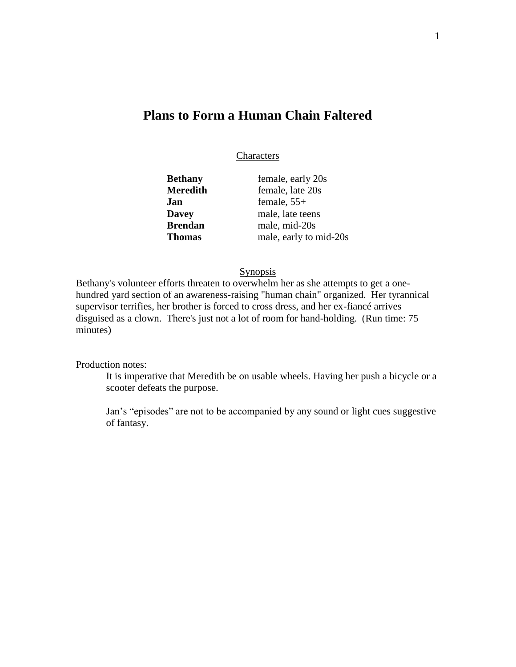# **Plans to Form a Human Chain Faltered**

#### Characters

| Bethany       | female, early 20s      |
|---------------|------------------------|
|               |                        |
| Meredith      | female, late 20s       |
| Jan           | female, $55+$          |
| <b>Davey</b>  | male, late teens       |
| Brendan       | male, mid-20s          |
| <b>Thomas</b> | male, early to mid-20s |

## Synopsis

Bethany's volunteer efforts threaten to overwhelm her as she attempts to get a onehundred yard section of an awareness-raising "human chain" organized. Her tyrannical supervisor terrifies, her brother is forced to cross dress, and her ex-fiancé arrives disguised as a clown. There's just not a lot of room for hand-holding. (Run time: 75 minutes)

Production notes:

It is imperative that Meredith be on usable wheels. Having her push a bicycle or a scooter defeats the purpose.

Jan's "episodes" are not to be accompanied by any sound or light cues suggestive of fantasy.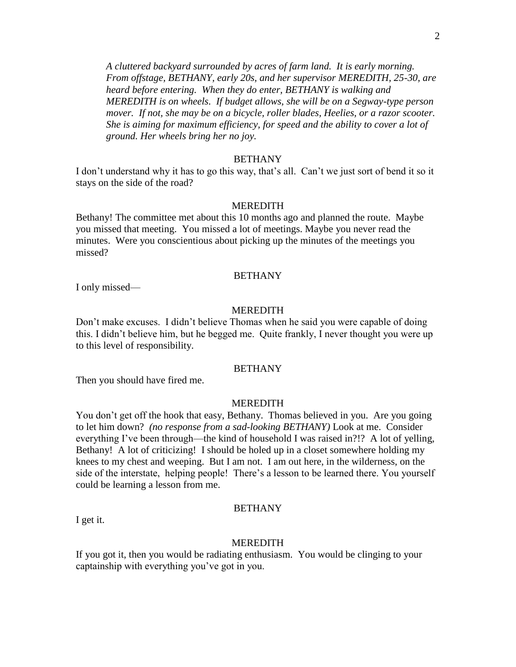*A cluttered backyard surrounded by acres of farm land. It is early morning. From offstage, BETHANY, early 20s, and her supervisor MEREDITH, 25-30, are heard before entering. When they do enter, BETHANY is walking and MEREDITH is on wheels. If budget allows, she will be on a Segway-type person mover. If not, she may be on a bicycle, roller blades, Heelies, or a razor scooter. She is aiming for maximum efficiency, for speed and the ability to cover a lot of ground. Her wheels bring her no joy.* 

#### BETHANY

I don't understand why it has to go this way, that's all. Can't we just sort of bend it so it stays on the side of the road?

#### MEREDITH

Bethany! The committee met about this 10 months ago and planned the route. Maybe you missed that meeting. You missed a lot of meetings. Maybe you never read the minutes. Were you conscientious about picking up the minutes of the meetings you missed?

#### BETHANY

I only missed—

I get it.

#### MEREDITH

Don't make excuses. I didn't believe Thomas when he said you were capable of doing this. I didn't believe him, but he begged me. Quite frankly, I never thought you were up to this level of responsibility.

## **BETHANY**

Then you should have fired me.

#### MEREDITH

You don't get off the hook that easy, Bethany. Thomas believed in you. Are you going to let him down? *(no response from a sad-looking BETHANY)* Look at me. Consider everything I've been through—the kind of household I was raised in?!? A lot of yelling, Bethany! A lot of criticizing! I should be holed up in a closet somewhere holding my knees to my chest and weeping. But I am not. I am out here, in the wilderness, on the side of the interstate, helping people! There's a lesson to be learned there. You yourself could be learning a lesson from me.

## BETHANY

MEREDITH

If you got it, then you would be radiating enthusiasm. You would be clinging to your captainship with everything you've got in you.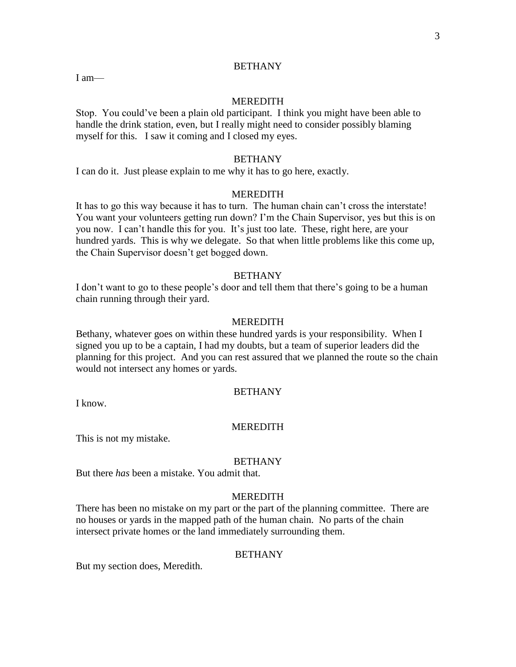## **BETHANY**

I am—

#### MEREDITH

Stop. You could've been a plain old participant. I think you might have been able to handle the drink station, even, but I really might need to consider possibly blaming myself for this. I saw it coming and I closed my eyes.

## BETHANY

I can do it. Just please explain to me why it has to go here, exactly.

## MEREDITH

It has to go this way because it has to turn. The human chain can't cross the interstate! You want your volunteers getting run down? I'm the Chain Supervisor, yes but this is on you now. I can't handle this for you. It's just too late. These, right here, are your hundred yards. This is why we delegate. So that when little problems like this come up, the Chain Supervisor doesn't get bogged down.

#### BETHANY

I don't want to go to these people's door and tell them that there's going to be a human chain running through their yard.

#### MEREDITH

Bethany, whatever goes on within these hundred yards is your responsibility. When I signed you up to be a captain, I had my doubts, but a team of superior leaders did the planning for this project. And you can rest assured that we planned the route so the chain would not intersect any homes or yards.

## BETHANY

I know.

#### MEREDITH

This is not my mistake.

#### **BETHANY**

But there *has* been a mistake. You admit that.

#### **MEREDITH**

There has been no mistake on my part or the part of the planning committee. There are no houses or yards in the mapped path of the human chain. No parts of the chain intersect private homes or the land immediately surrounding them.

### **BETHANY**

But my section does, Meredith.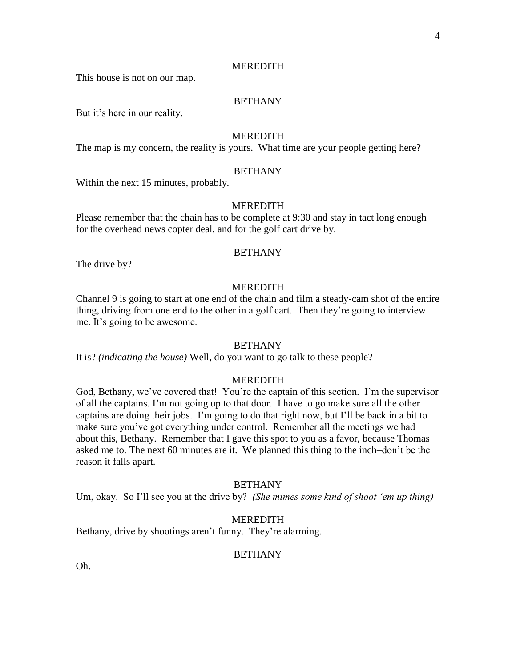This house is not on our map.

# BETHANY

But it's here in our reality.

## **MEREDITH**

The map is my concern, the reality is yours. What time are your people getting here?

#### BETHANY

Within the next 15 minutes, probably.

#### **MEREDITH**

Please remember that the chain has to be complete at 9:30 and stay in tact long enough for the overhead news copter deal, and for the golf cart drive by.

#### **BETHANY**

The drive by?

#### **MEREDITH**

Channel 9 is going to start at one end of the chain and film a steady-cam shot of the entire thing, driving from one end to the other in a golf cart. Then they're going to interview me. It's going to be awesome.

#### **BETHANY**

It is? *(indicating the house)* Well, do you want to go talk to these people?

#### MEREDITH

God, Bethany, we've covered that! You're the captain of this section. I'm the supervisor of all the captains. I'm not going up to that door. I have to go make sure all the other captains are doing their jobs. I'm going to do that right now, but I'll be back in a bit to make sure you've got everything under control. Remember all the meetings we had about this, Bethany. Remember that I gave this spot to you as a favor, because Thomas asked me to. The next 60 minutes are it. We planned this thing to the inch–don't be the reason it falls apart.

#### **BETHANY**

Um, okay. So I'll see you at the drive by? *(She mimes some kind of shoot 'em up thing)*

#### MEREDITH

Bethany, drive by shootings aren't funny. They're alarming.

#### **BETHANY**

Oh.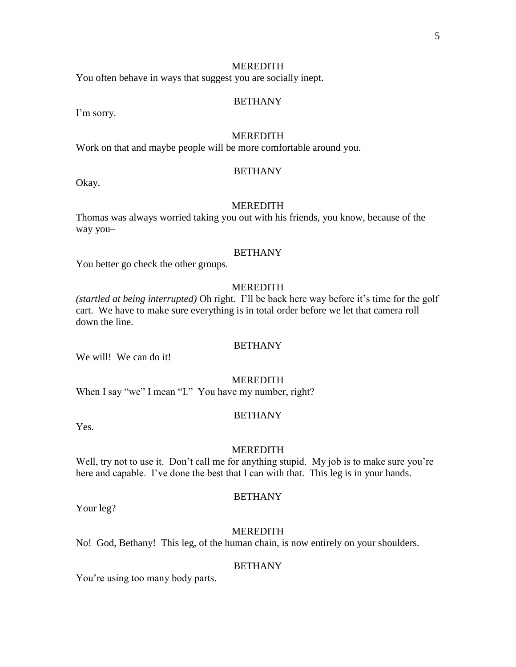You often behave in ways that suggest you are socially inept.

#### BETHANY

I'm sorry.

## **MEREDITH**

Work on that and maybe people will be more comfortable around you.

#### BETHANY

Okay.

#### MEREDITH

Thomas was always worried taking you out with his friends, you know, because of the way you–

#### **BETHANY**

You better go check the other groups.

## **MEREDITH**

*(startled at being interrupted)* Oh right. I'll be back here way before it's time for the golf cart. We have to make sure everything is in total order before we let that camera roll down the line.

#### **BETHANY**

We will! We can do it!

#### MEREDITH

When I say "we" I mean "I." You have my number, right?

#### BETHANY

Yes.

#### MEREDITH

Well, try not to use it. Don't call me for anything stupid. My job is to make sure you're here and capable. I've done the best that I can with that. This leg is in your hands.

#### **BETHANY**

Your leg?

#### MEREDITH

No! God, Bethany! This leg, of the human chain, is now entirely on your shoulders.

#### **BETHANY**

You're using too many body parts.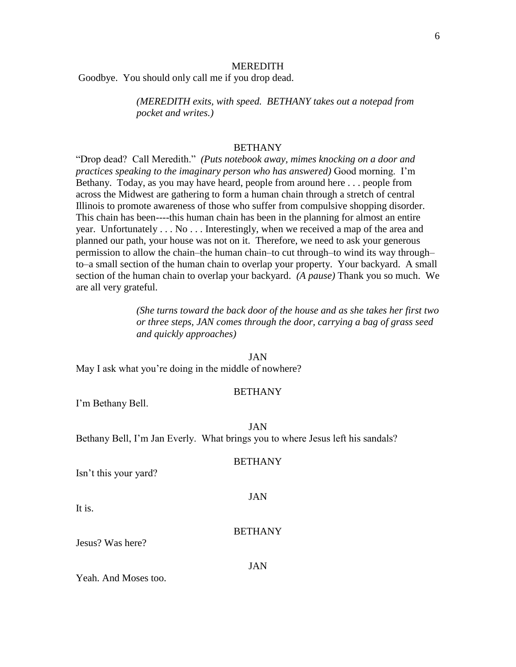Goodbye. You should only call me if you drop dead.

*(MEREDITH exits, with speed. BETHANY takes out a notepad from pocket and writes.)*

#### BETHANY

"Drop dead? Call Meredith." *(Puts notebook away, mimes knocking on a door and practices speaking to the imaginary person who has answered)* Good morning. I'm Bethany. Today, as you may have heard, people from around here . . . people from across the Midwest are gathering to form a human chain through a stretch of central Illinois to promote awareness of those who suffer from compulsive shopping disorder. This chain has been----this human chain has been in the planning for almost an entire year. Unfortunately . . . No . . . Interestingly, when we received a map of the area and planned our path, your house was not on it. Therefore, we need to ask your generous permission to allow the chain–the human chain–to cut through–to wind its way through– to–a small section of the human chain to overlap your property. Your backyard. A small section of the human chain to overlap your backyard. *(A pause)* Thank you so much. We are all very grateful.

> *(She turns toward the back door of the house and as she takes her first two or three steps, JAN comes through the door, carrying a bag of grass seed and quickly approaches)*

#### JAN

May I ask what you're doing in the middle of nowhere?

#### **BETHANY**

I'm Bethany Bell.

JAN

Bethany Bell, I'm Jan Everly. What brings you to where Jesus left his sandals?

#### BETHANY

JAN

Isn't this your yard?

It is.

#### BETHANY

Jesus? Was here?

JAN

Yeah. And Moses too.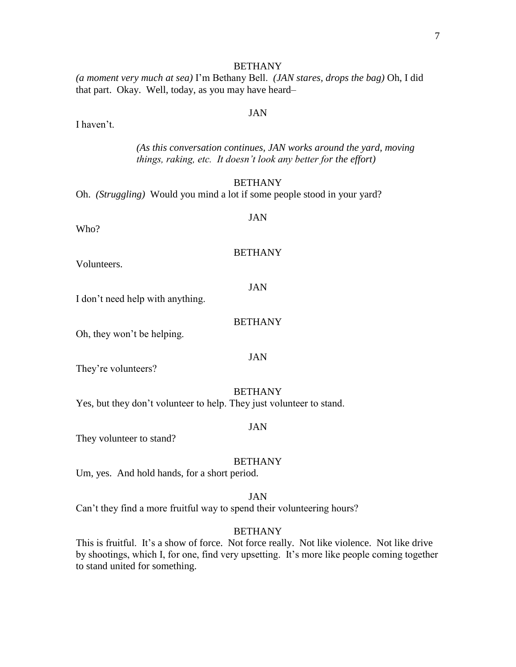# **BETHANY**

*(a moment very much at sea)* I'm Bethany Bell. *(JAN stares, drops the bag)* Oh, I did that part. Okay. Well, today, as you may have heard–

I haven't.

*(As this conversation continues, JAN works around the yard, moving things, raking, etc. It doesn't look any better for the effort)*

## **BETHANY**

JAN

Oh. *(Struggling)* Would you mind a lot if some people stood in your yard?

Who?

#### BETHANY

Volunteers.

JAN

I don't need help with anything.

BETHANY

Oh, they won't be helping.

JAN

They're volunteers?

#### BETHANY

Yes, but they don't volunteer to help. They just volunteer to stand.

#### JAN

They volunteer to stand?

#### BETHANY

Um, yes. And hold hands, for a short period.

#### JAN

Can't they find a more fruitful way to spend their volunteering hours?

#### BETHANY

This is fruitful. It's a show of force. Not force really. Not like violence. Not like drive by shootings, which I, for one, find very upsetting. It's more like people coming together to stand united for something.

# JAN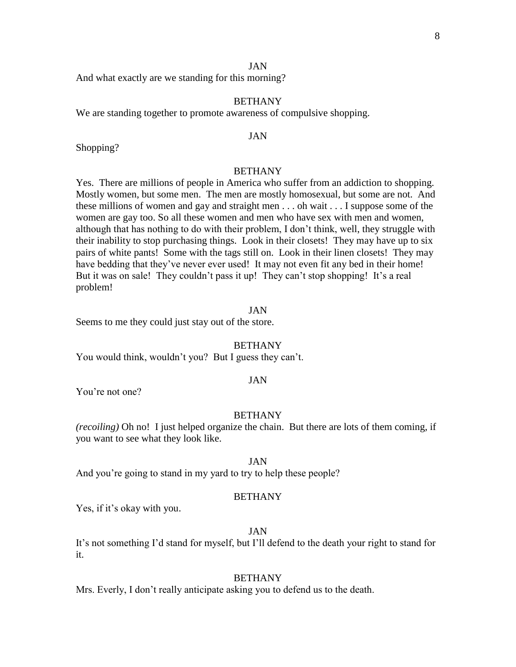And what exactly are we standing for this morning?

# BETHANY

We are standing together to promote awareness of compulsive shopping.

#### JAN

Shopping?

#### BETHANY

Yes. There are millions of people in America who suffer from an addiction to shopping. Mostly women, but some men. The men are mostly homosexual, but some are not. And these millions of women and gay and straight men . . . oh wait . . . I suppose some of the women are gay too. So all these women and men who have sex with men and women, although that has nothing to do with their problem, I don't think, well, they struggle with their inability to stop purchasing things. Look in their closets! They may have up to six pairs of white pants! Some with the tags still on. Look in their linen closets! They may have bedding that they've never ever used! It may not even fit any bed in their home! But it was on sale! They couldn't pass it up! They can't stop shopping! It's a real problem!

### JAN

Seems to me they could just stay out of the store.

#### **BETHANY**

You would think, wouldn't you? But I guess they can't.

#### JAN

You're not one?

#### BETHANY

*(recoiling)* Oh no! I just helped organize the chain. But there are lots of them coming, if you want to see what they look like.

# JAN

And you're going to stand in my yard to try to help these people?

#### **BETHANY**

Yes, if it's okay with you.

#### JAN

It's not something I'd stand for myself, but I'll defend to the death your right to stand for it.

#### BETHANY

Mrs. Everly, I don't really anticipate asking you to defend us to the death.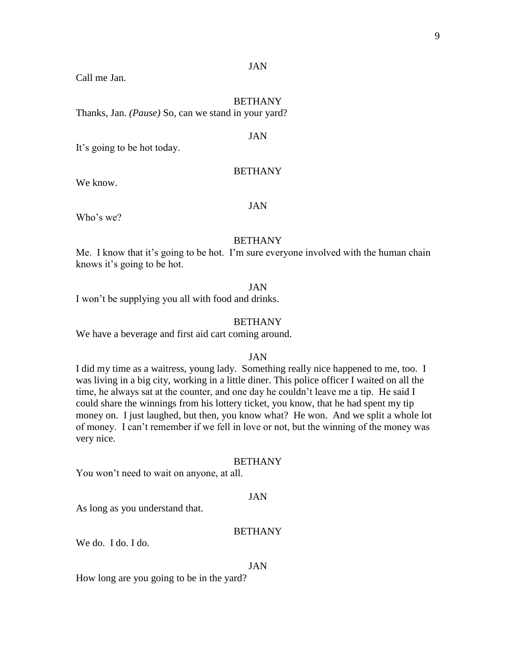Call me Jan.

#### **BETHANY**

Thanks, Jan. *(Pause)* So, can we stand in your yard?

#### JAN

It's going to be hot today.

#### BETHANY

We know.

#### JAN

Who's we?

#### BETHANY

Me. I know that it's going to be hot. I'm sure everyone involved with the human chain knows it's going to be hot.

#### JAN

I won't be supplying you all with food and drinks.

## BETHANY

We have a beverage and first aid cart coming around.

# JAN

I did my time as a waitress, young lady. Something really nice happened to me, too. I was living in a big city, working in a little diner. This police officer I waited on all the time, he always sat at the counter, and one day he couldn't leave me a tip. He said I could share the winnings from his lottery ticket, you know, that he had spent my tip money on. I just laughed, but then, you know what? He won. And we split a whole lot of money. I can't remember if we fell in love or not, but the winning of the money was very nice.

#### BETHANY

You won't need to wait on anyone, at all.

#### JAN

As long as you understand that.

#### BETHANY

We do. I do. I do.

#### JAN

How long are you going to be in the yard?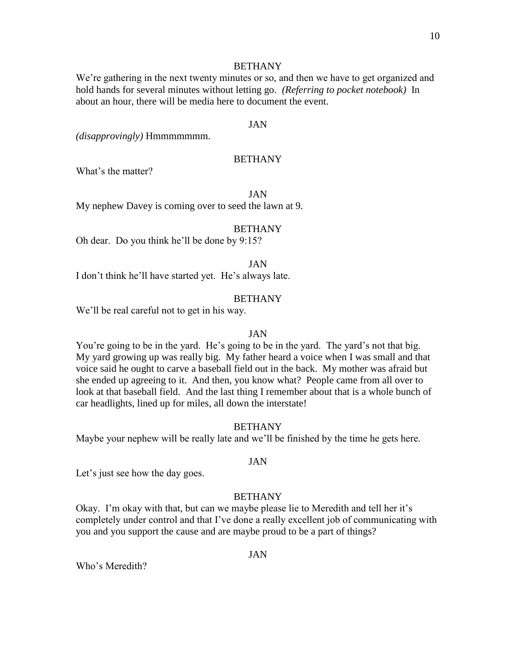## BETHANY

We're gathering in the next twenty minutes or so, and then we have to get organized and hold hands for several minutes without letting go. *(Referring to pocket notebook)* In about an hour, there will be media here to document the event.

## JAN

*(disapprovingly)* Hmmmmmmm.

## BETHANY

What's the matter?

JAN

My nephew Davey is coming over to seed the lawn at 9.

#### **BETHANY**

Oh dear. Do you think he'll be done by 9:15?

JAN

I don't think he'll have started yet. He's always late.

## **BETHANY**

We'll be real careful not to get in his way.

#### JAN

You're going to be in the yard. He's going to be in the yard. The yard's not that big. My yard growing up was really big. My father heard a voice when I was small and that voice said he ought to carve a baseball field out in the back. My mother was afraid but she ended up agreeing to it. And then, you know what? People came from all over to look at that baseball field. And the last thing I remember about that is a whole bunch of car headlights, lined up for miles, all down the interstate!

#### BETHANY

Maybe your nephew will be really late and we'll be finished by the time he gets here.

## JAN

Let's just see how the day goes.

#### **BETHANY**

Okay. I'm okay with that, but can we maybe please lie to Meredith and tell her it's completely under control and that I've done a really excellent job of communicating with you and you support the cause and are maybe proud to be a part of things?

### JAN

Who's Meredith?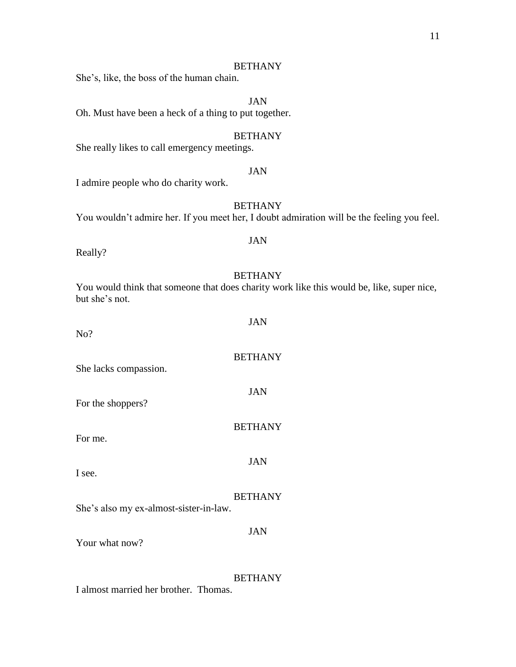## BETHANY

She's, like, the boss of the human chain.

# JAN

Oh. Must have been a heck of a thing to put together.

## **BETHANY**

She really likes to call emergency meetings.

## JAN

I admire people who do charity work.

# BETHANY

You wouldn't admire her. If you meet her, I doubt admiration will be the feeling you feel.

JAN

#### Really?

#### BETHANY

You would think that someone that does charity work like this would be, like, super nice, but she's not.

| No?                                    | JAN            |
|----------------------------------------|----------------|
| She lacks compassion.                  | <b>BETHANY</b> |
| For the shoppers?                      | <b>JAN</b>     |
| For me.                                | <b>BETHANY</b> |
| I see.                                 | JAN            |
| She's also my ex-almost-sister-in-law. | <b>BETHANY</b> |
| Your what now?                         | JAN            |

# BETHANY

I almost married her brother. Thomas.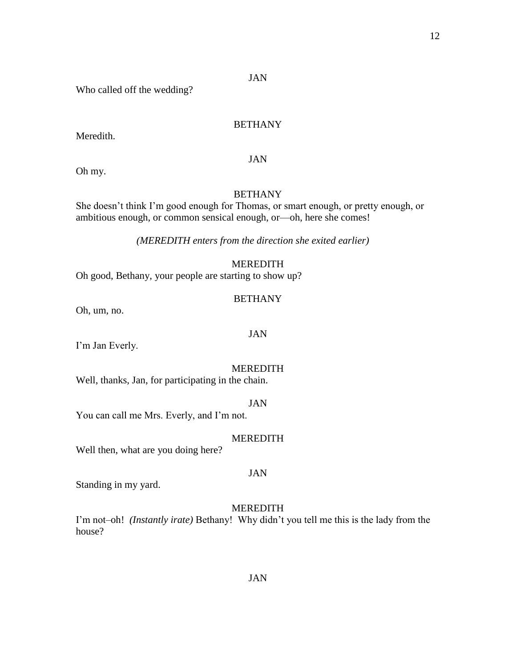# Who called off the wedding?

# BETHANY

Meredith.

JAN

Oh my.

# BETHANY

She doesn't think I'm good enough for Thomas, or smart enough, or pretty enough, or ambitious enough, or common sensical enough, or—oh, here she comes!

*(MEREDITH enters from the direction she exited earlier)*

## MEREDITH

Oh good, Bethany, your people are starting to show up?

#### BETHANY

Oh, um, no.

I'm Jan Everly.

#### MEREDITH

JAN

Well, thanks, Jan, for participating in the chain.

## JAN

You can call me Mrs. Everly, and I'm not.

#### MEREDITH

JAN

Well then, what are you doing here?

Standing in my yard.

## MEREDITH

I'm not–oh! *(Instantly irate)* Bethany! Why didn't you tell me this is the lady from the house?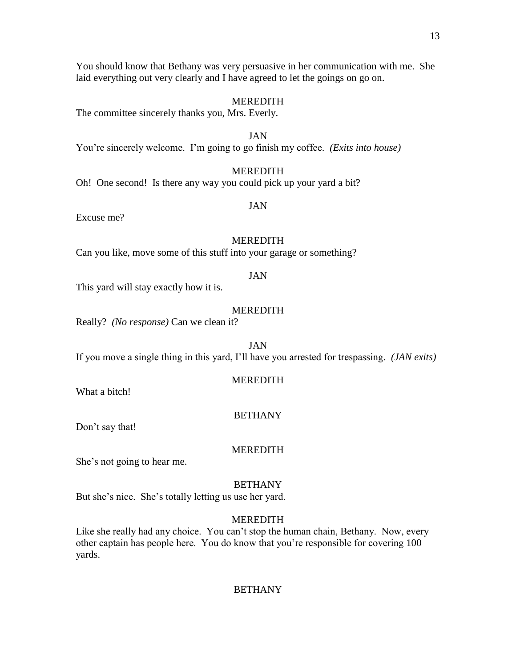You should know that Bethany was very persuasive in her communication with me. She laid everything out very clearly and I have agreed to let the goings on go on.

#### MEREDITH

The committee sincerely thanks you, Mrs. Everly.

JAN You're sincerely welcome. I'm going to go finish my coffee. *(Exits into house)*

## MEREDITH

Oh! One second! Is there any way you could pick up your yard a bit?

# JAN

Excuse me?

#### MEREDITH

Can you like, move some of this stuff into your garage or something?

#### JAN

This yard will stay exactly how it is.

## MEREDITH

Really? *(No response)* Can we clean it?

JAN If you move a single thing in this yard, I'll have you arrested for trespassing. *(JAN exits)*

#### MEREDITH

What a bitch!

#### BETHANY

Don't say that!

#### MEREDITH

She's not going to hear me.

#### **BETHANY**

But she's nice. She's totally letting us use her yard.

## MEREDITH

Like she really had any choice. You can't stop the human chain, Bethany. Now, every other captain has people here. You do know that you're responsible for covering 100 yards.

## **BETHANY**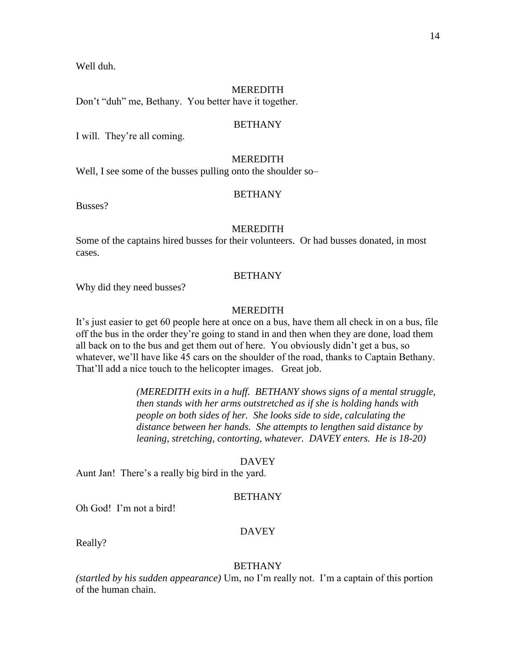Well duh.

#### **MEREDITH**

Don't "duh" me, Bethany. You better have it together.

## BETHANY

I will. They're all coming.

## MEREDITH

Well, I see some of the busses pulling onto the shoulder so-

#### BETHANY

Busses?

#### **MEREDITH**

Some of the captains hired busses for their volunteers. Or had busses donated, in most cases.

#### **BETHANY**

Why did they need busses?

## MEREDITH

It's just easier to get 60 people here at once on a bus, have them all check in on a bus, file off the bus in the order they're going to stand in and then when they are done, load them all back on to the bus and get them out of here. You obviously didn't get a bus, so whatever, we'll have like 45 cars on the shoulder of the road, thanks to Captain Bethany. That'll add a nice touch to the helicopter images. Great job.

> *(MEREDITH exits in a huff. BETHANY shows signs of a mental struggle, then stands with her arms outstretched as if she is holding hands with people on both sides of her. She looks side to side, calculating the distance between her hands. She attempts to lengthen said distance by leaning, stretching, contorting, whatever. DAVEY enters. He is 18-20)*

#### DAVEY

Aunt Jan! There's a really big bird in the yard.

#### **BETHANY**

Oh God! I'm not a bird!

#### DAVEY

Really?

## BETHANY

*(startled by his sudden appearance)* Um, no I'm really not. I'm a captain of this portion of the human chain.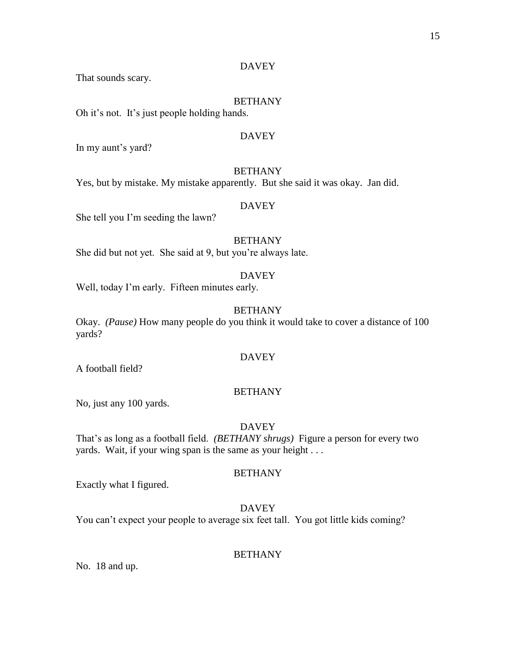# DAVEY

That sounds scary.

## BETHANY

Oh it's not. It's just people holding hands.

## DAVEY

In my aunt's yard?

# BETHANY

Yes, but by mistake. My mistake apparently. But she said it was okay. Jan did.

## DAVEY

She tell you I'm seeding the lawn?

# BETHANY

She did but not yet. She said at 9, but you're always late.

#### DAVEY

Well, today I'm early. Fifteen minutes early.

# BETHANY

Okay. *(Pause)* How many people do you think it would take to cover a distance of 100 yards?

# DAVEY

A football field?

## BETHANY

No, just any 100 yards.

## DAVEY

That's as long as a football field. *(BETHANY shrugs)* Figure a person for every two yards. Wait, if your wing span is the same as your height . . .

# BETHANY

Exactly what I figured.

## DAVEY

You can't expect your people to average six feet tall. You got little kids coming?

### BETHANY

No. 18 and up.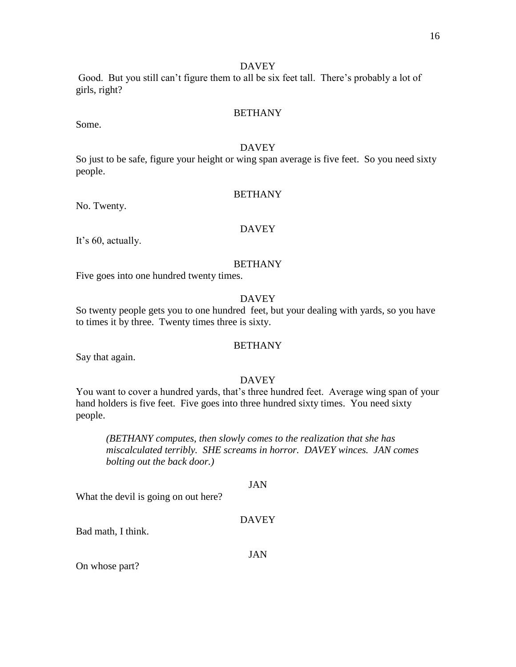# DAVEY

Good. But you still can't figure them to all be six feet tall. There's probably a lot of girls, right?

# **BETHANY**

Some.

## DAVEY

So just to be safe, figure your height or wing span average is five feet. So you need sixty people.

# BETHANY

No. Twenty.

## DAVEY

It's 60, actually.

# BETHANY

Five goes into one hundred twenty times.

# DAVEY

So twenty people gets you to one hundred feet, but your dealing with yards, so you have to times it by three. Twenty times three is sixty.

## **BETHANY**

Say that again.

# DAVEY

You want to cover a hundred yards, that's three hundred feet. Average wing span of your hand holders is five feet. Five goes into three hundred sixty times. You need sixty people.

*(BETHANY computes*, *then slowly comes to the realization that she has miscalculated terribly. SHE screams in horror. DAVEY winces. JAN comes bolting out the back door.)*

## JAN

What the devil is going on out here?

# DAVEY

Bad math, I think.

## JAN

On whose part?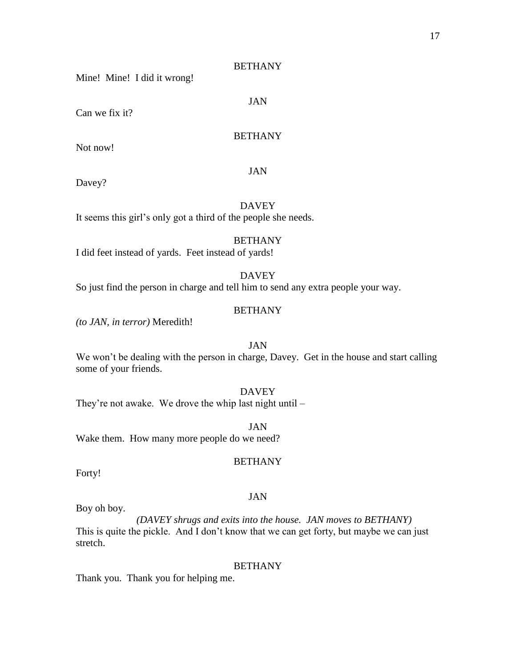## **BETHANY**

JAN

Mine! Mine! I did it wrong!

Can we fix it?

# **BETHANY**

Not now!

## JAN

Davey?

# DAVEY

It seems this girl's only got a third of the people she needs.

## BETHANY

I did feet instead of yards. Feet instead of yards!

# DAVEY

So just find the person in charge and tell him to send any extra people your way.

# BETHANY

*(to JAN, in terror)* Meredith!

# JAN

We won't be dealing with the person in charge, Davey. Get in the house and start calling some of your friends.

# **DAVEY**

They're not awake. We drove the whip last night until –

JAN Wake them. How many more people do we need?

# BETHANY

JAN

Forty!

#### Boy oh boy.

*(DAVEY shrugs and exits into the house. JAN moves to BETHANY)* This is quite the pickle. And I don't know that we can get forty, but maybe we can just stretch.

#### **BETHANY**

Thank you. Thank you for helping me.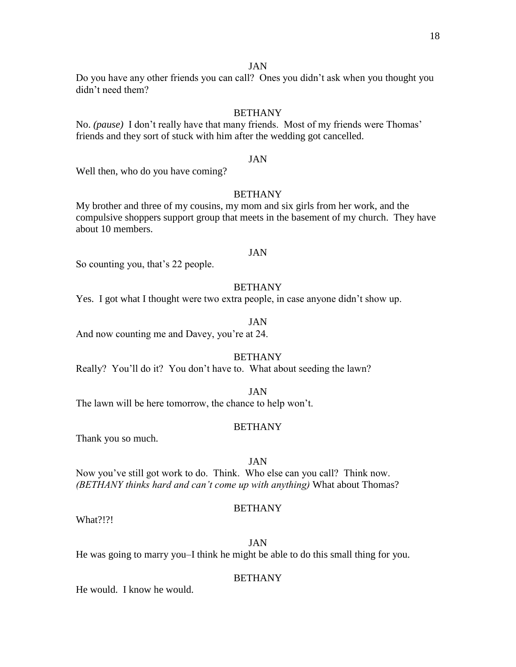Do you have any other friends you can call? Ones you didn't ask when you thought you didn't need them?

## **BETHANY**

No. *(pause)* I don't really have that many friends. Most of my friends were Thomas' friends and they sort of stuck with him after the wedding got cancelled.

#### JAN

Well then, who do you have coming?

# BETHANY

My brother and three of my cousins, my mom and six girls from her work, and the compulsive shoppers support group that meets in the basement of my church. They have about 10 members.

## JAN

So counting you, that's 22 people.

# **BETHANY**

Yes. I got what I thought were two extra people, in case anyone didn't show up.

# JAN

And now counting me and Davey, you're at 24.

#### BETHANY

Really? You'll do it? You don't have to. What about seeding the lawn?

JAN

The lawn will be here tomorrow, the chance to help won't.

#### BETHANY

Thank you so much.

## JAN

Now you've still got work to do. Think. Who else can you call? Think now. *(BETHANY thinks hard and can't come up with anything)* What about Thomas?

## BETHANY

What?!?!

JAN

He was going to marry you–I think he might be able to do this small thing for you.

# **BETHANY**

He would. I know he would.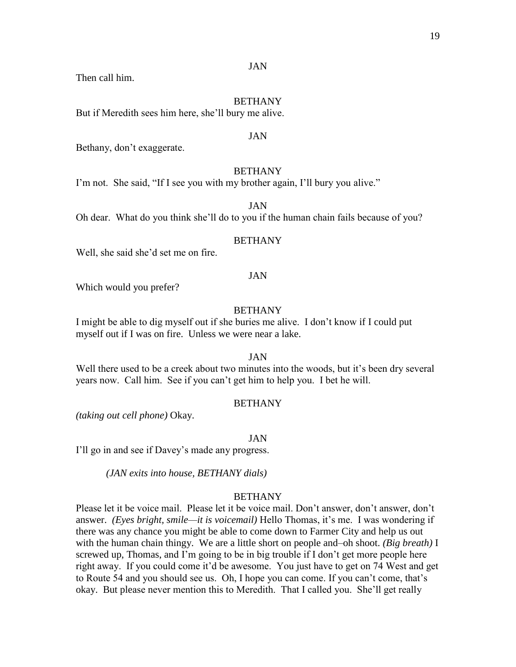Then call him.

#### BETHANY

But if Meredith sees him here, she'll bury me alive.

#### JAN

Bethany, don't exaggerate.

## BETHANY

I'm not. She said, "If I see you with my brother again, I'll bury you alive."

JAN

Oh dear. What do you think she'll do to you if the human chain fails because of you?

## **BETHANY**

Well, she said she'd set me on fire.

#### JAN

Which would you prefer?

# BETHANY

I might be able to dig myself out if she buries me alive. I don't know if I could put myself out if I was on fire. Unless we were near a lake.

# JAN

Well there used to be a creek about two minutes into the woods, but it's been dry several years now. Call him. See if you can't get him to help you. I bet he will.

## **BETHANY**

*(taking out cell phone)* Okay.

#### JAN

I'll go in and see if Davey's made any progress.

*(JAN exits into house, BETHANY dials)*

## **BETHANY**

Please let it be voice mail. Please let it be voice mail. Don't answer, don't answer, don't answer. *(Eyes bright, smile—it is voicemail)* Hello Thomas, it's me. I was wondering if there was any chance you might be able to come down to Farmer City and help us out with the human chain thingy. We are a little short on people and–oh shoot. *(Big breath)* I screwed up, Thomas, and I'm going to be in big trouble if I don't get more people here right away. If you could come it'd be awesome. You just have to get on 74 West and get to Route 54 and you should see us. Oh, I hope you can come. If you can't come, that's okay. But please never mention this to Meredith. That I called you. She'll get really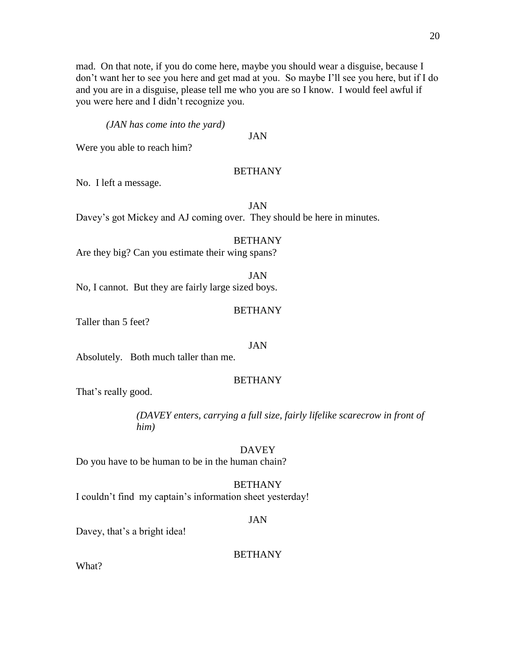mad. On that note, if you do come here, maybe you should wear a disguise, because I don't want her to see you here and get mad at you. So maybe I'll see you here, but if I do and you are in a disguise, please tell me who you are so I know. I would feel awful if you were here and I didn't recognize you.

*(JAN has come into the yard)*

JAN

Were you able to reach him?

# BETHANY

No. I left a message.

JAN

Davey's got Mickey and AJ coming over. They should be here in minutes.

# BETHANY

Are they big? Can you estimate their wing spans?

JAN No, I cannot. But they are fairly large sized boys.

# BETHANY

Taller than 5 feet?

# JAN

Absolutely. Both much taller than me.

# BETHANY

That's really good.

*(DAVEY enters, carrying a full size, fairly lifelike scarecrow in front of him)*

# DAVEY

Do you have to be human to be in the human chain?

# BETHANY

I couldn't find my captain's information sheet yesterday!

# JAN

Davey, that's a bright idea!

# **BETHANY**

What?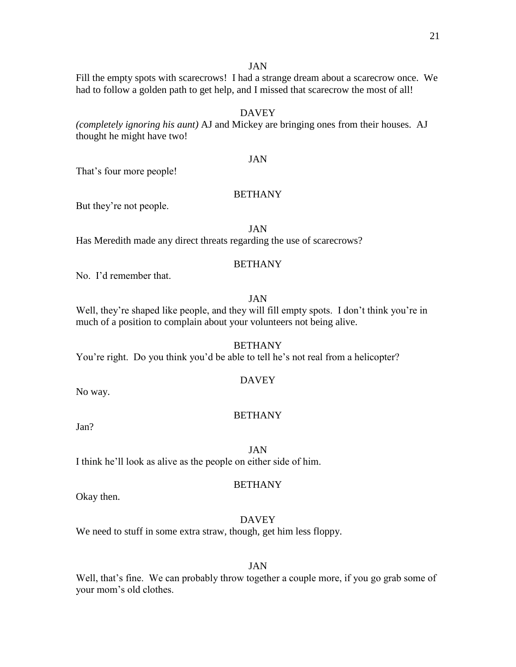Fill the empty spots with scarecrows! I had a strange dream about a scarecrow once. We had to follow a golden path to get help, and I missed that scarecrow the most of all!

# DAVEY

*(completely ignoring his aunt)* AJ and Mickey are bringing ones from their houses. AJ thought he might have two!

## JAN

That's four more people!

# BETHANY

But they're not people.

JAN

Has Meredith made any direct threats regarding the use of scarecrows?

# BETHANY

No. I'd remember that.

# JAN

Well, they're shaped like people, and they will fill empty spots. I don't think you're in much of a position to complain about your volunteers not being alive.

## **BETHANY**

You're right. Do you think you'd be able to tell he's not real from a helicopter?

## DAVEY

No way.

## BETHANY

Jan?

# JAN

I think he'll look as alive as the people on either side of him.

#### BETHANY

Okay then.

# **DAVEY**

We need to stuff in some extra straw, though, get him less floppy.

## JAN

Well, that's fine. We can probably throw together a couple more, if you go grab some of your mom's old clothes.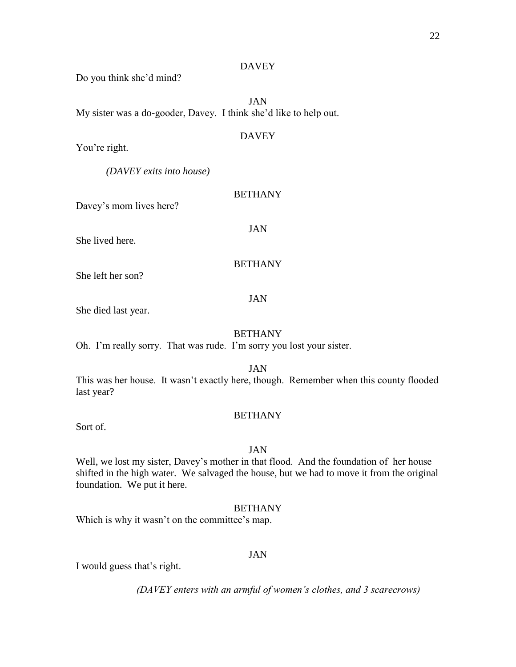## DAVEY

Do you think she'd mind?

JAN My sister was a do-gooder, Davey. I think she'd like to help out.

# **DAVEY**

You're right.

*(DAVEY exits into house)*

Davey's mom lives here?

JAN

BETHANY

She lived here.

BETHANY

She left her son?

## JAN

She died last year.

# BETHANY

Oh. I'm really sorry. That was rude. I'm sorry you lost your sister.

JAN

This was her house. It wasn't exactly here, though. Remember when this county flooded last year?

# BETHANY

Sort of.

## JAN

Well, we lost my sister, Davey's mother in that flood. And the foundation of her house shifted in the high water. We salvaged the house, but we had to move it from the original foundation. We put it here.

# BETHANY

Which is why it wasn't on the committee's map.

# JAN

I would guess that's right.

*(DAVEY enters with an armful of women's clothes, and 3 scarecrows)*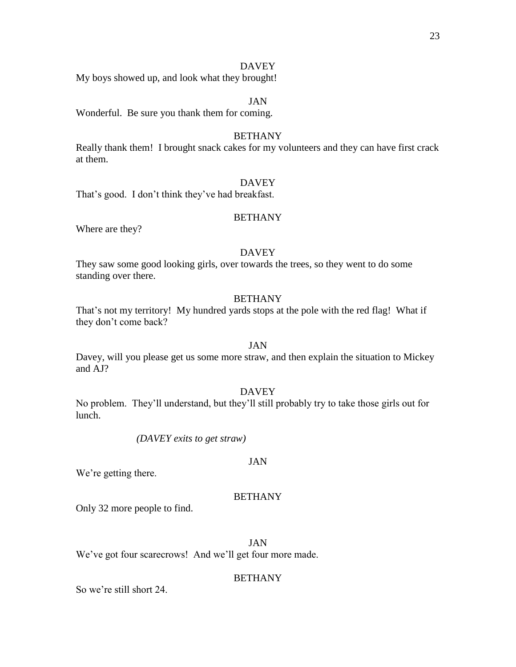## **DAVEY**

My boys showed up, and look what they brought!

# JAN

Wonderful. Be sure you thank them for coming.

#### **BETHANY**

Really thank them! I brought snack cakes for my volunteers and they can have first crack at them.

## DAVEY

That's good. I don't think they've had breakfast.

## BETHANY

Where are they?

# DAVEY

They saw some good looking girls, over towards the trees, so they went to do some standing over there.

## BETHANY

That's not my territory! My hundred yards stops at the pole with the red flag! What if they don't come back?

#### JAN

Davey, will you please get us some more straw, and then explain the situation to Mickey and AJ?

## DAVEY

No problem. They'll understand, but they'll still probably try to take those girls out for lunch.

*(DAVEY exits to get straw)*

## JAN

We're getting there.

## **BETHANY**

Only 32 more people to find.

JAN

We've got four scarecrows! And we'll get four more made.

## BETHANY

So we're still short 24.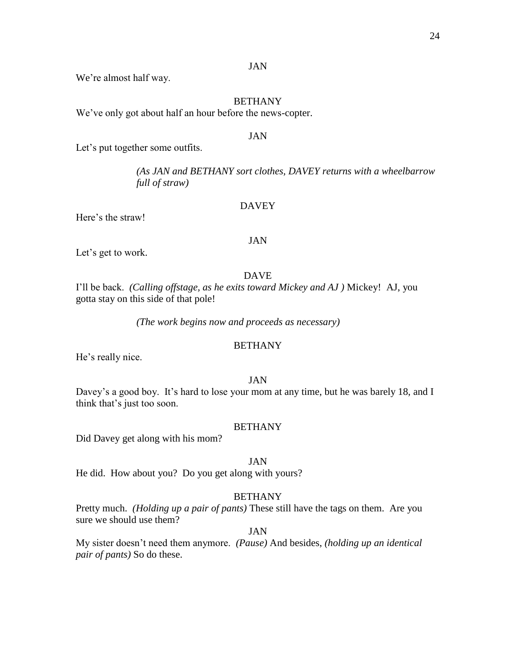We're almost half way.

## BETHANY

We've only got about half an hour before the news-copter.

#### JAN

Let's put together some outfits.

*(As JAN and BETHANY sort clothes, DAVEY returns with a wheelbarrow full of straw)*

## **DAVEY**

Here's the straw!

#### JAN

Let's get to work.

#### DAVE

I'll be back. *(Calling offstage, as he exits toward Mickey and AJ )* Mickey! AJ, you gotta stay on this side of that pole!

*(The work begins now and proceeds as necessary)*

#### **BETHANY**

He's really nice.

# JAN

Davey's a good boy. It's hard to lose your mom at any time, but he was barely 18, and I think that's just too soon.

#### BETHANY

Did Davey get along with his mom?

# JAN

He did. How about you? Do you get along with yours?

## BETHANY

Pretty much. *(Holding up a pair of pants)* These still have the tags on them. Are you sure we should use them?

## JAN

My sister doesn't need them anymore. *(Pause)* And besides, *(holding up an identical pair of pants)* So do these.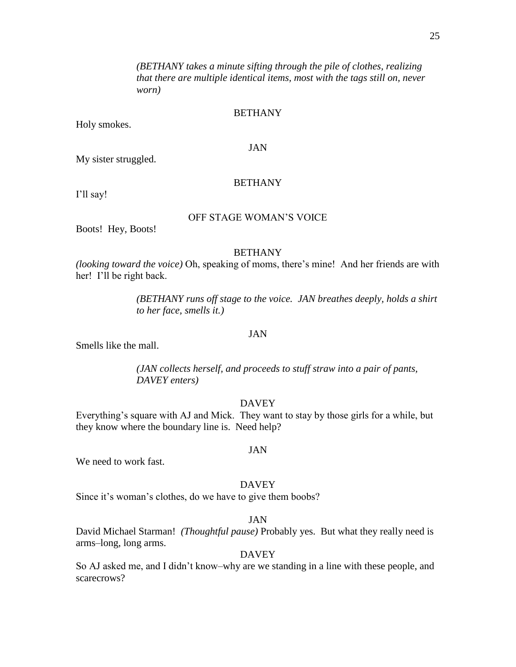*(BETHANY takes a minute sifting through the pile of clothes, realizing that there are multiple identical items, most with the tags still on, never worn)*

# BETHANY

Holy smokes.

## JAN

My sister struggled.

## **BETHANY**

I'll say!

## OFF STAGE WOMAN'S VOICE

Boots! Hey, Boots!

# **BETHANY**

*(looking toward the voice)* Oh, speaking of moms, there's mine! And her friends are with her! I'll be right back.

> *(BETHANY runs off stage to the voice. JAN breathes deeply, holds a shirt to her face, smells it.)*

## JAN

Smells like the mall.

*(JAN collects herself, and proceeds to stuff straw into a pair of pants, DAVEY enters)*

# DAVEY

Everything's square with AJ and Mick. They want to stay by those girls for a while, but they know where the boundary line is. Need help?

JAN

We need to work fast.

# DAVEY

Since it's woman's clothes, do we have to give them boobs?

# JAN

David Michael Starman! *(Thoughtful pause)* Probably yes. But what they really need is arms–long, long arms.

## DAVEY

So AJ asked me, and I didn't know–why are we standing in a line with these people, and scarecrows?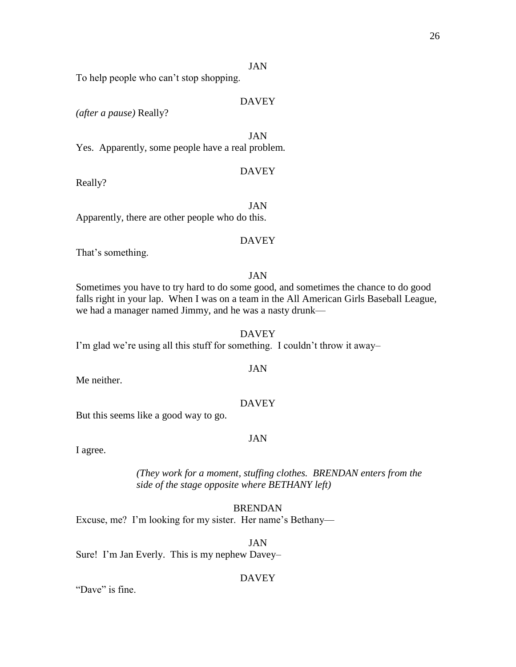To help people who can't stop shopping.

## DAVEY

*(after a pause)* Really?

JAN Yes.Apparently, some people have a real problem*.*

## DAVEY

Really?

JAN Apparently, there are other people who do this.

#### DAVEY

That's something.

#### JAN

Sometimes you have to try hard to do some good, and sometimes the chance to do good falls right in your lap. When I was on a team in the All American Girls Baseball League, we had a manager named Jimmy, and he was a nasty drunk—

DAVEY I'm glad we're using all this stuff for something. I couldn't throw it away–

Me neither.

## DAVEY

But this seems like a good way to go.

#### JAN

I agree.

*(They work for a moment, stuffing clothes. BRENDAN enters from the side of the stage opposite where BETHANY left)*

## BRENDAN

Excuse, me? I'm looking for my sister. Her name's Bethany—

JAN Sure! I'm Jan Everly. This is my nephew Davey–

## DAVEY

"Dave" is fine.

# JAN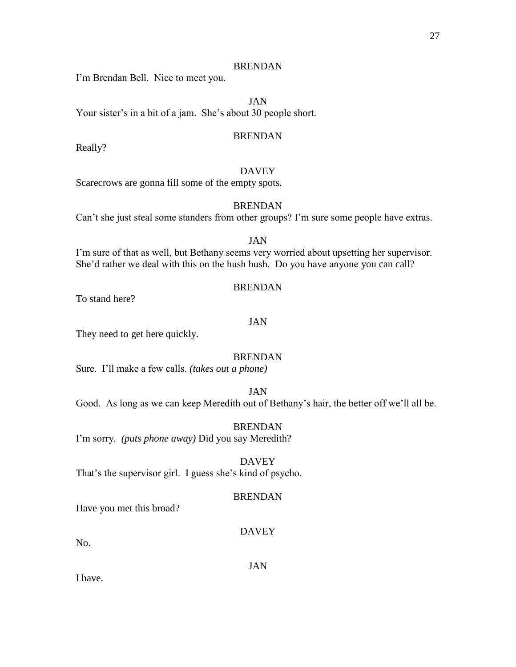I'm Brendan Bell. Nice to meet you.

JAN

Your sister's in a bit of a jam. She's about 30 people short.

## BRENDAN

Really?

## DAVEY

Scarecrows are gonna fill some of the empty spots.

## BRENDAN

Can't she just steal some standers from other groups? I'm sure some people have extras.

## JAN

I'm sure of that as well, but Bethany seems very worried about upsetting her supervisor. She'd rather we deal with this on the hush hush. Do you have anyone you can call?

## BRENDAN

To stand here?

## JAN

They need to get here quickly.

# BRENDAN

Sure. I'll make a few calls. *(takes out a phone)*

# JAN

Good. As long as we can keep Meredith out of Bethany's hair, the better off we'll all be.

# BRENDAN

I'm sorry. *(puts phone away)* Did you say Meredith?

DAVEY That's the supervisor girl. I guess she's kind of psycho.

## **BRENDAN**

Have you met this broad?

## DAVEY

No.

## JAN

I have.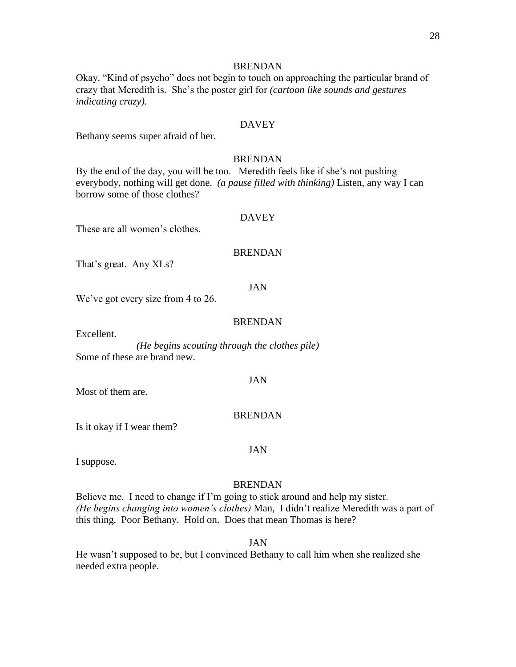Okay. "Kind of psycho" does not begin to touch on approaching the particular brand of crazy that Meredith is. She's the poster girl for *(cartoon like sounds and gestures indicating crazy).*

## **DAVEY**

Bethany seems super afraid of her.

## BRENDAN

By the end of the day, you will be too. Meredith feels like if she's not pushing everybody, nothing will get done. *(a pause filled with thinking)* Listen, any way I can borrow some of those clothes?

## DAVEY

These are all women's clothes.

#### BRENDAN

That's great. Any XLs?

#### JAN

We've got every size from 4 to 26.

#### BRENDAN

Excellent.

*(He begins scouting through the clothes pile)* Some of these are brand new.

#### JAN

Most of them are.

#### BRENDAN

Is it okay if I wear them?

## JAN

I suppose.

#### BRENDAN

Believe me. I need to change if I'm going to stick around and help my sister. *(He begins changing into women's clothes)* Man, I didn't realize Meredith was a part of this thing. Poor Bethany. Hold on. Does that mean Thomas is here?

#### JAN

He wasn't supposed to be, but I convinced Bethany to call him when she realized she needed extra people.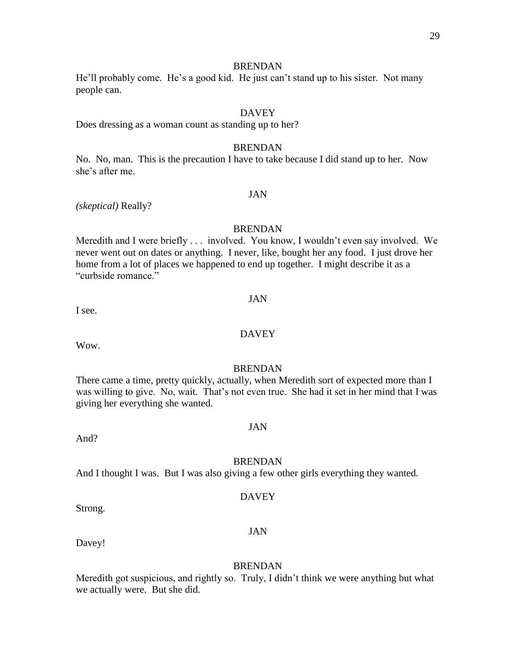He'll probably come. He's a good kid. He just can't stand up to his sister. Not many people can.

# **DAVEY**

Does dressing as a woman count as standing up to her?

#### BRENDAN

No. No, man. This is the precaution I have to take because I did stand up to her. Now she's after me.

## JAN

*(skeptical)* Really?

#### BRENDAN

Meredith and I were briefly . . . involved. You know, I wouldn't even say involved. We never went out on dates or anything. I never, like, bought her any food. I just drove her home from a lot of places we happened to end up together. I might describe it as a "curbside romance."

#### JAN

I see.

# **DAVEY**

Wow.

## BRENDAN

There came a time, pretty quickly, actually, when Meredith sort of expected more than I was willing to give. No, wait. That's not even true. She had it set in her mind that I was giving her everything she wanted.

#### JAN

And?

#### BRENDAN

And I thought I was. But I was also giving a few other girls everything they wanted.

#### **DAVEY**

JAN

Strong.

Davey!

#### BRENDAN

Meredith got suspicious, and rightly so. Truly, I didn't think we were anything but what we actually were. But she did.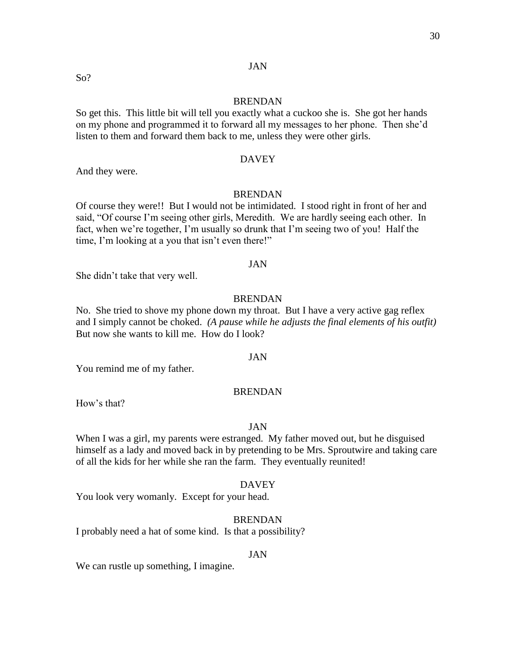## BRENDAN

So get this. This little bit will tell you exactly what a cuckoo she is. She got her hands on my phone and programmed it to forward all my messages to her phone. Then she'd listen to them and forward them back to me, unless they were other girls.

#### DAVEY

And they were.

#### BRENDAN

Of course they were!! But I would not be intimidated. I stood right in front of her and said, "Of course I'm seeing other girls, Meredith. We are hardly seeing each other. In fact, when we're together, I'm usually so drunk that I'm seeing two of you! Half the time, I'm looking at a you that isn't even there!"

## JAN

She didn't take that very well.

## BRENDAN

No. She tried to shove my phone down my throat. But I have a very active gag reflex and I simply cannot be choked. *(A pause while he adjusts the final elements of his outfit)*  But now she wants to kill me. How do I look?

#### JAN

You remind me of my father.

#### BRENDAN

How's that?

#### JAN

When I was a girl, my parents were estranged. My father moved out, but he disguised himself as a lady and moved back in by pretending to be Mrs. Sproutwire and taking care of all the kids for her while she ran the farm. They eventually reunited!

#### DAVEY

You look very womanly. Except for your head.

# BRENDAN

I probably need a hat of some kind. Is that a possibility?

#### JAN

We can rustle up something, I imagine.

So?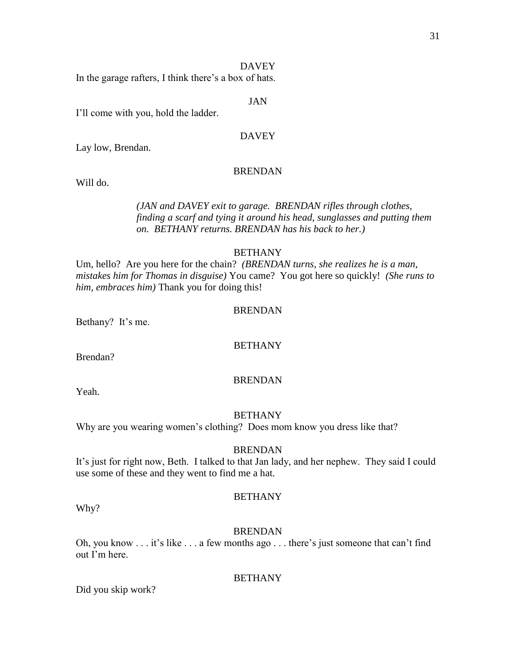## **DAVEY**

In the garage rafters, I think there's a box of hats.

### JAN

I'll come with you, hold the ladder.

# **DAVEY**

Lay low, Brendan.

## BRENDAN

Will do.

# *(JAN and DAVEY exit to garage. BRENDAN rifles through clothes, finding a scarf and tying it around his head, sunglasses and putting them on. BETHANY returns. BRENDAN has his back to her.)*

# BETHANY

Um, hello? Are you here for the chain? *(BRENDAN turns, she realizes he is a man, mistakes him for Thomas in disguise)* You came? You got here so quickly! *(She runs to him, embraces him)* Thank you for doing this!

# BRENDAN

Bethany? It's me.

## **BETHANY**

Brendan?

## BRENDAN

Yeah.

## **BETHANY**

Why are you wearing women's clothing? Does mom know you dress like that?

# BRENDAN

It's just for right now, Beth. I talked to that Jan lady, and her nephew. They said I could use some of these and they went to find me a hat.

Why?

## **BETHANY**

BRENDAN

Oh, you know . . . it's like . . . a few months ago . . . there's just someone that can't find out I'm here.

## BETHANY

Did you skip work?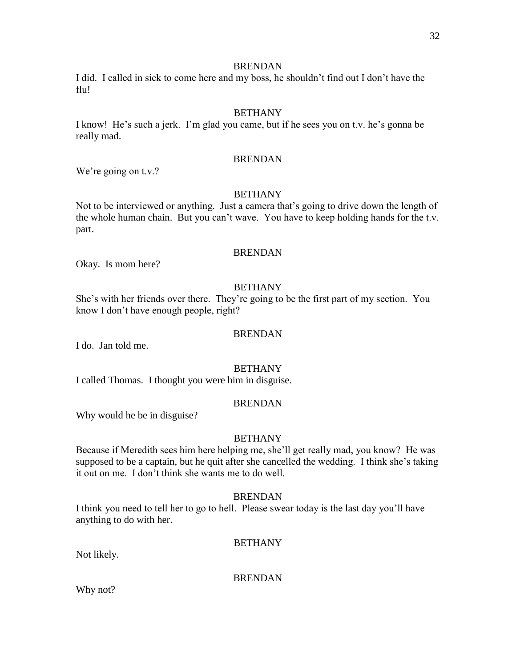I did. I called in sick to come here and my boss, he shouldn't find out I don't have the flu!

# **BETHANY**

I know! He's such a jerk. I'm glad you came, but if he sees you on t.v. he's gonna be really mad.

## BRENDAN

We're going on t.v.?

# BETHANY

Not to be interviewed or anything. Just a camera that's going to drive down the length of the whole human chain. But you can't wave. You have to keep holding hands for the t.v. part.

## BRENDAN

Okay. Is mom here?

# **BETHANY**

She's with her friends over there. They're going to be the first part of my section. You know I don't have enough people, right?

## BRENDAN

I do. Jan told me.

## BETHANY

I called Thomas. I thought you were him in disguise.

# BRENDAN

Why would he be in disguise?

# **BETHANY**

Because if Meredith sees him here helping me, she'll get really mad, you know? He was supposed to be a captain, but he quit after she cancelled the wedding. I think she's taking it out on me. I don't think she wants me to do well.

## **BRENDAN**

I think you need to tell her to go to hell. Please swear today is the last day you'll have anything to do with her.

# **BETHANY**

Not likely.

BRENDAN

Why not?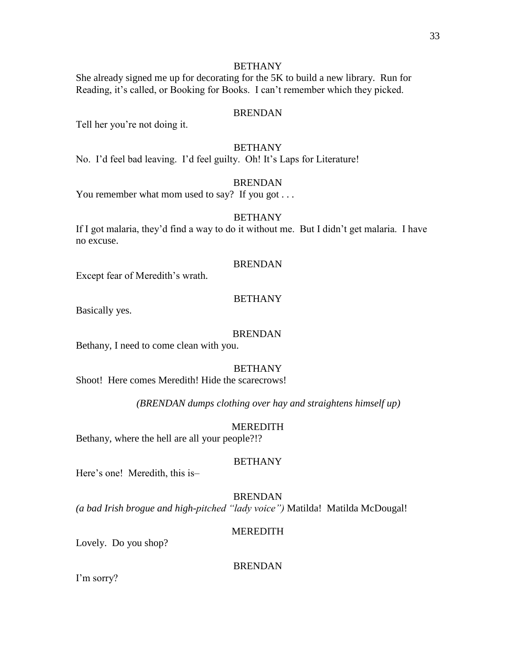# **BETHANY**

She already signed me up for decorating for the 5K to build a new library. Run for Reading, it's called, or Booking for Books. I can't remember which they picked.

# BRENDAN

Tell her you're not doing it.

# BETHANY

No. I'd feel bad leaving. I'd feel guilty. Oh! It's Laps for Literature!

## **BRENDAN**

You remember what mom used to say? If you got . . .

# **BETHANY**

If I got malaria, they'd find a way to do it without me. But I didn't get malaria. I have no excuse.

## BRENDAN

Except fear of Meredith's wrath.

#### **BETHANY**

Basically yes.

#### BRENDAN

Bethany, I need to come clean with you.

#### **BETHANY**

Shoot! Here comes Meredith! Hide the scarecrows!

*(BRENDAN dumps clothing over hay and straightens himself up)*

#### MEREDITH

Bethany, where the hell are all your people?!?

## BETHANY

Here's one! Meredith, this is–

#### BRENDAN

*(a bad Irish brogue and high-pitched "lady voice")* Matilda! Matilda McDougal!

## MEREDITH

Lovely. Do you shop?

#### BRENDAN

I'm sorry?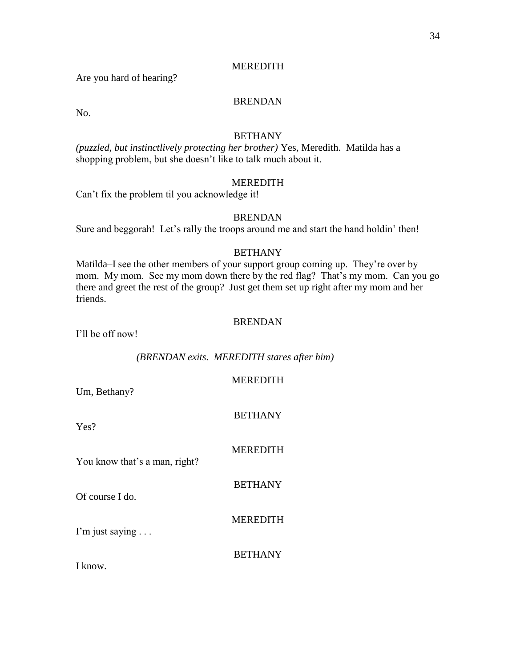Are you hard of hearing?

# BRENDAN

No.

# **BETHANY**

*(puzzled, but instinctlively protecting her brother)* Yes, Meredith. Matilda has a shopping problem, but she doesn't like to talk much about it.

## MEREDITH

Can't fix the problem til you acknowledge it!

# BRENDAN

Sure and beggorah! Let's rally the troops around me and start the hand holdin' then!

# BETHANY

Matilda–I see the other members of your support group coming up. They're over by mom. My mom. See my mom down there by the red flag? That's my mom. Can you go there and greet the rest of the group? Just get them set up right after my mom and her friends.

## BRENDAN

I'll be off now!

*(BRENDAN exits. MEREDITH stares after him)*

| Um, Bethany?                        | <b>MEREDITH</b> |
|-------------------------------------|-----------------|
| Yes?                                | <b>BETHANY</b>  |
| You know that's a man, right?       | <b>MEREDITH</b> |
| Of course I do.                     | <b>BETHANY</b>  |
|                                     | <b>MEREDITH</b> |
| I'm just saying $\ldots$<br>I know. | <b>BETHANY</b>  |
|                                     |                 |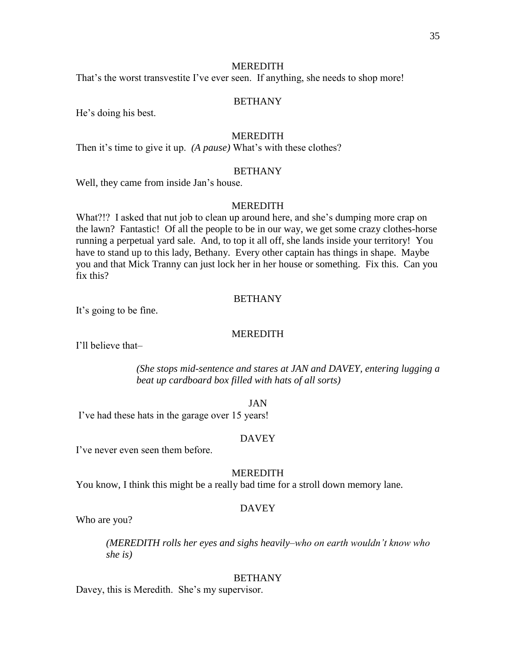That's the worst transvestite I've ever seen. If anything, she needs to shop more!

## BETHANY

He's doing his best.

## **MEREDITH**

Then it's time to give it up. *(A pause)* What's with these clothes?

## BETHANY

Well, they came from inside Jan's house.

### **MEREDITH**

What?!? I asked that nut job to clean up around here, and she's dumping more crap on the lawn? Fantastic! Of all the people to be in our way, we get some crazy clothes-horse running a perpetual yard sale. And, to top it all off, she lands inside your territory! You have to stand up to this lady, Bethany. Every other captain has things in shape. Maybe you and that Mick Tranny can just lock her in her house or something. Fix this. Can you fix this?

#### **BETHANY**

It's going to be fine.

#### MEREDITH

I'll believe that–

*(She stops mid-sentence and stares at JAN and DAVEY, entering lugging a beat up cardboard box filled with hats of all sorts)*

#### JAN

I've had these hats in the garage over 15 years!

#### **DAVEY**

I've never even seen them before.

## MEREDITH

You know, I think this might be a really bad time for a stroll down memory lane.

#### DAVEY

Who are you?

*(MEREDITH rolls her eyes and sighs heavily–who on earth wouldn't know who she is)*

#### BETHANY

Davey, this is Meredith. She's my supervisor.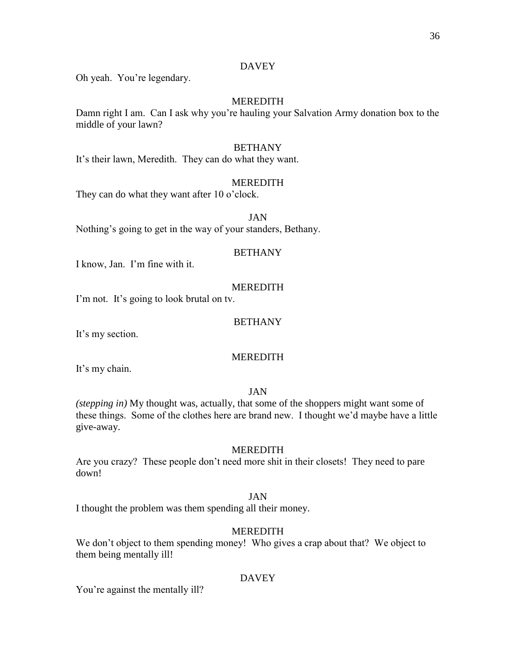## DAVEY

Oh yeah. You're legendary.

# MEREDITH

Damn right I am. Can I ask why you're hauling your Salvation Army donation box to the middle of your lawn?

## BETHANY

It's their lawn, Meredith. They can do what they want.

## **MEREDITH**

They can do what they want after 10 o'clock.

JAN

Nothing's going to get in the way of your standers, Bethany.

## BETHANY

I know, Jan. I'm fine with it.

## MEREDITH

I'm not. It's going to look brutal on tv.

## **BETHANY**

It's my section.

# MEREDITH

It's my chain.

JAN

*(stepping in)* My thought was, actually, that some of the shoppers might want some of these things. Some of the clothes here are brand new. I thought we'd maybe have a little give-away.

## MEREDITH

Are you crazy? These people don't need more shit in their closets! They need to pare down!

## JAN

I thought the problem was them spending all their money.

# MEREDITH

We don't object to them spending money! Who gives a crap about that? We object to them being mentally ill!

# DAVEY

You're against the mentally ill?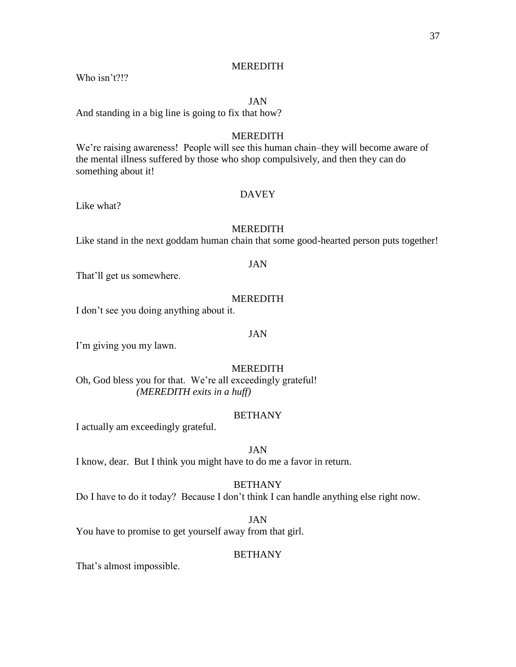Who isn't?!?

## JAN

And standing in a big line is going to fix that how?

#### **MEREDITH**

We're raising awareness! People will see this human chain–they will become aware of the mental illness suffered by those who shop compulsively, and then they can do something about it!

# DAVEY

Like what?

#### MEREDITH

Like stand in the next goddam human chain that some good-hearted person puts together!

# JAN

That'll get us somewhere.

## MEREDITH

I don't see you doing anything about it.

#### JAN

I'm giving you my lawn.

# MEREDITH

Oh, God bless you for that. We're all exceedingly grateful! *(MEREDITH exits in a huff)*

#### BETHANY

I actually am exceedingly grateful.

# JAN

I know, dear. But I think you might have to do me a favor in return.

## BETHANY

Do I have to do it today? Because I don't think I can handle anything else right now.

#### JAN

You have to promise to get yourself away from that girl.

#### **BETHANY**

That's almost impossible.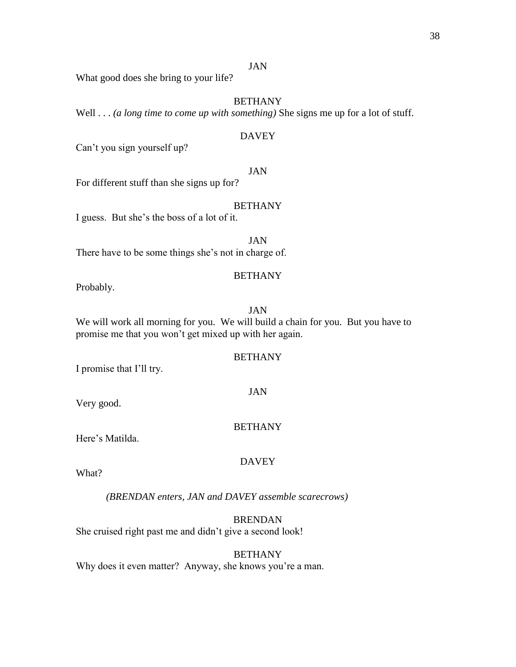What good does she bring to your life?

# BETHANY

Well . . . *(a long time to come up with something)* She signs me up for a lot of stuff.

#### DAVEY

Can't you sign yourself up?

## JAN

For different stuff than she signs up for?

## BETHANY

I guess. But she's the boss of a lot of it.

JAN There have to be some things she's not in charge of.

#### **BETHANY**

Probably.

## JAN

We will work all morning for you. We will build a chain for you. But you have to promise me that you won't get mixed up with her again.

# BETHANY

I promise that I'll try.

Very good.

## BETHANY

JAN

Here's Matilda.

## DAVEY

What?

*(BRENDAN enters, JAN and DAVEY assemble scarecrows)*

# BRENDAN

She cruised right past me and didn't give a second look!

#### BETHANY

Why does it even matter? Anyway, she knows you're a man.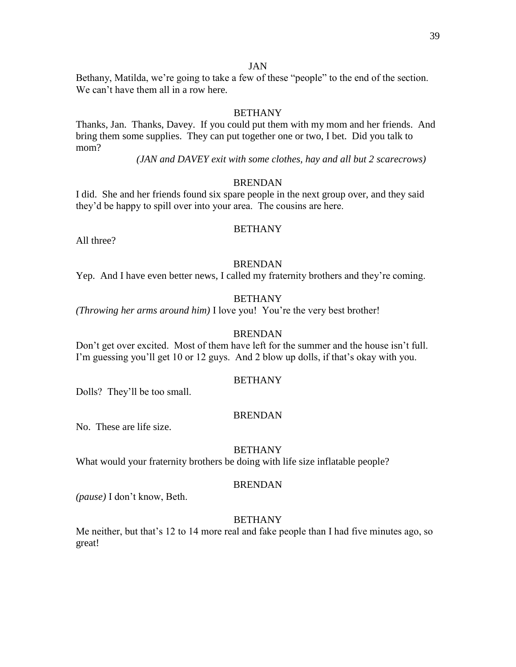Bethany, Matilda, we're going to take a few of these "people" to the end of the section. We can't have them all in a row here.

# **BETHANY**

Thanks, Jan. Thanks, Davey. If you could put them with my mom and her friends. And bring them some supplies. They can put together one or two, I bet. Did you talk to mom?

*(JAN and DAVEY exit with some clothes, hay and all but 2 scarecrows)*

# **BRENDAN**

I did. She and her friends found six spare people in the next group over, and they said they'd be happy to spill over into your area. The cousins are here.

## **BETHANY**

All three?

# BRENDAN

Yep. And I have even better news, I called my fraternity brothers and they're coming.

# BETHANY

*(Throwing her arms around him)* I love you! You're the very best brother!

## BRENDAN

Don't get over excited. Most of them have left for the summer and the house isn't full. I'm guessing you'll get 10 or 12 guys. And 2 blow up dolls, if that's okay with you.

## BETHANY

Dolls? They'll be too small.

## BRENDAN

No. These are life size.

## **BETHANY**

What would your fraternity brothers be doing with life size inflatable people?

## BRENDAN

*(pause)* I don't know, Beth.

# BETHANY

Me neither, but that's 12 to 14 more real and fake people than I had five minutes ago, so great!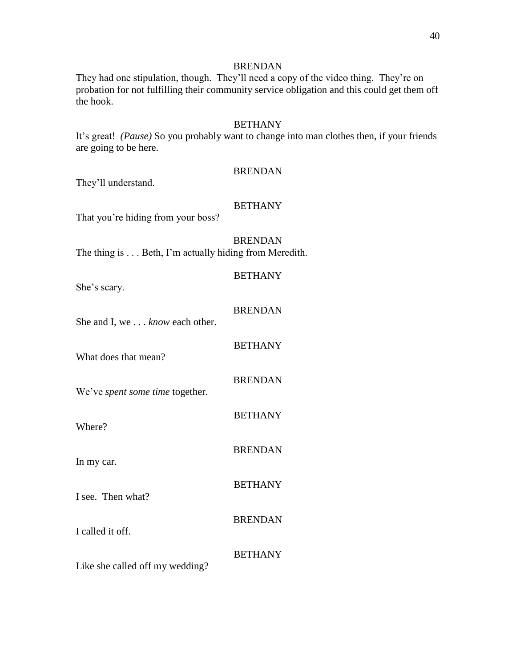They had one stipulation, though. They'll need a copy of the video thing. They're on probation for not fulfilling their community service obligation and this could get them off the hook.

## **BETHANY**

It's great! *(Pause)* So you probably want to change into man clothes then, if your friends are going to be here.

#### BRENDAN

They'll understand.

## **BETHANY**

That you're hiding from your boss?

# BRENDAN

BETHANY

The thing is . . . Beth, I'm actually hiding from Meredith.

She's scary.

| She and I, we know each other.  | <b>BRENDAN</b> |
|---------------------------------|----------------|
| What does that mean?            | <b>BETHANY</b> |
| We've spent some time together. | <b>BRENDAN</b> |
| Where?                          | <b>BETHANY</b> |
| In my car.                      | <b>BRENDAN</b> |
| I see. Then what?               | <b>BETHANY</b> |
|                                 | <b>BRENDAN</b> |
| I called it off.                | <b>BETHANY</b> |
| Like she called off my wedding? |                |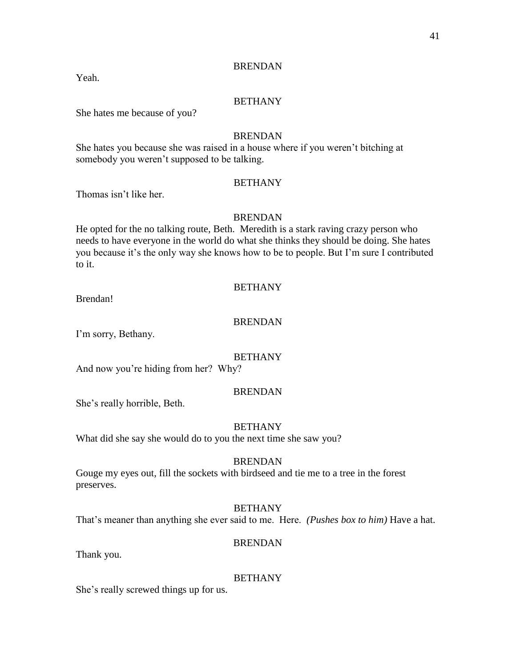Yeah.

## BETHANY

She hates me because of you?

## BRENDAN

She hates you because she was raised in a house where if you weren't bitching at somebody you weren't supposed to be talking.

# **BETHANY**

Thomas isn't like her.

## BRENDAN

He opted for the no talking route, Beth. Meredith is a stark raving crazy person who needs to have everyone in the world do what she thinks they should be doing. She hates you because it's the only way she knows how to be to people. But I'm sure I contributed to it.

#### **BETHANY**

Brendan!

# BRENDAN

I'm sorry, Bethany.

# BETHANY

And now you're hiding from her? Why?

#### BRENDAN

She's really horrible, Beth.

#### **BETHANY**

What did she say she would do to you the next time she saw you?

#### BRENDAN

Gouge my eyes out, fill the sockets with birdseed and tie me to a tree in the forest preserves.

#### BETHANY

That's meaner than anything she ever said to me. Here. *(Pushes box to him)* Have a hat.

#### BRENDAN

Thank you.

#### BETHANY

She's really screwed things up for us.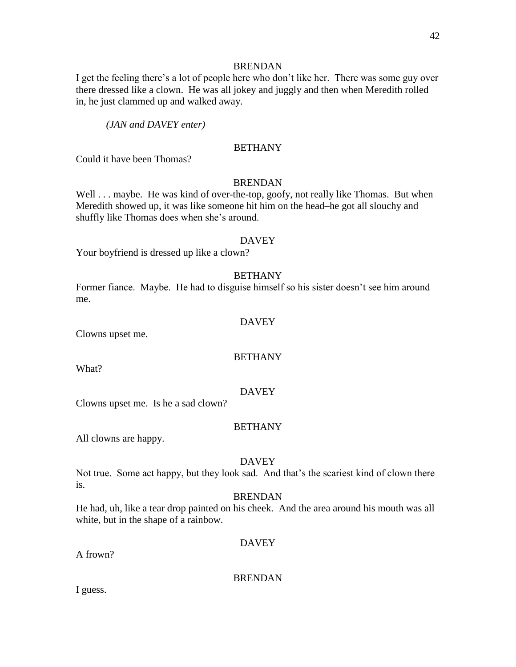I get the feeling there's a lot of people here who don't like her. There was some guy over there dressed like a clown. He was all jokey and juggly and then when Meredith rolled in, he just clammed up and walked away.

*(JAN and DAVEY enter)*

## **BETHANY**

Could it have been Thomas?

#### **BRENDAN**

Well . . . maybe. He was kind of over-the-top, goofy, not really like Thomas. But when Meredith showed up, it was like someone hit him on the head–he got all slouchy and shuffly like Thomas does when she's around.

#### DAVEY

Your boyfriend is dressed up like a clown?

#### BETHANY

Former fiance. Maybe. He had to disguise himself so his sister doesn't see him around me.

## DAVEY

Clowns upset me.

# **BETHANY**

What?

#### DAVEY

Clowns upset me. Is he a sad clown?

## BETHANY

All clowns are happy.

## DAVEY

Not true. Some act happy, but they look sad. And that's the scariest kind of clown there is.

#### **BRENDAN**

He had, uh, like a tear drop painted on his cheek. And the area around his mouth was all white, but in the shape of a rainbow.

## DAVEY

A frown?

BRENDAN

I guess.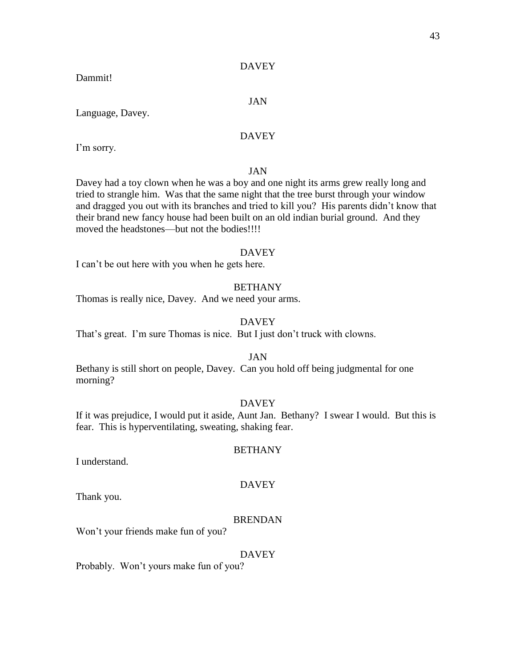## DAVEY

Dammit!

#### JAN

Language, Davey.

# DAVEY

I'm sorry.

## JAN

Davey had a toy clown when he was a boy and one night its arms grew really long and tried to strangle him. Was that the same night that the tree burst through your window and dragged you out with its branches and tried to kill you? His parents didn't know that their brand new fancy house had been built on an old indian burial ground. And they moved the headstones—but not the bodies!!!!

#### DAVEY

I can't be out here with you when he gets here.

#### **BETHANY**

Thomas is really nice, Davey. And we need your arms.

# DAVEY

That's great. I'm sure Thomas is nice. But I just don't truck with clowns.

## JAN

Bethany is still short on people, Davey. Can you hold off being judgmental for one morning?

# DAVEY

If it was prejudice, I would put it aside, Aunt Jan. Bethany? I swear I would. But this is fear. This is hyperventilating, sweating, shaking fear.

#### I understand.

# DAVEY

BETHANY

Thank you.

#### BRENDAN

Won't your friends make fun of you?

#### DAVEY

Probably. Won't yours make fun of you?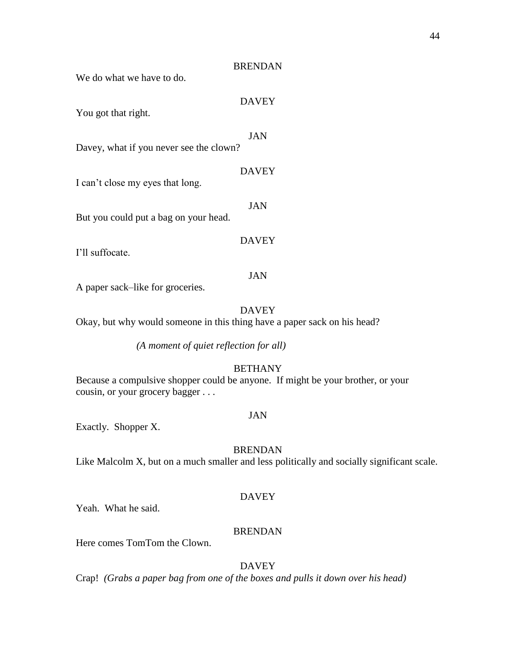We do what we have to do.

# DAVEY

You got that right.

#### JAN

Davey, what if you never see the clown?

## DAVEY

I can't close my eyes that long.

JAN

But you could put a bag on your head.

## **DAVEY**

I'll suffocate.

#### JAN

A paper sack–like for groceries.

#### DAVEY

Okay, but why would someone in this thing have a paper sack on his head?

*(A moment of quiet reflection for all)*

## **BETHANY**

Because a compulsive shopper could be anyone. If might be your brother, or your cousin, or your grocery bagger . . .

#### JAN

Exactly. Shopper X.

## BRENDAN

Like Malcolm X, but on a much smaller and less politically and socially significant scale.

#### DAVEY

Yeah. What he said.

## BRENDAN

Here comes TomTom the Clown.

## DAVEY

Crap! *(Grabs a paper bag from one of the boxes and pulls it down over his head)*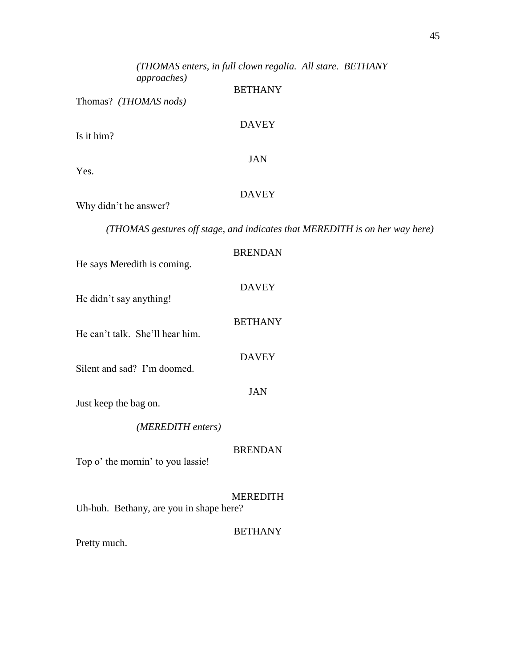|                                         | (THOMAS enters, in full clown regalia. All stare. BETHANY                   |
|-----------------------------------------|-----------------------------------------------------------------------------|
| <i>approaches</i> )                     | <b>BETHANY</b>                                                              |
| Thomas? (THOMAS nods)                   |                                                                             |
| Is it him?                              | <b>DAVEY</b>                                                                |
| Yes.                                    | <b>JAN</b>                                                                  |
| Why didn't he answer?                   | <b>DAVEY</b>                                                                |
|                                         | (THOMAS gestures off stage, and indicates that MEREDITH is on her way here) |
| He says Meredith is coming.             | <b>BRENDAN</b>                                                              |
| He didn't say anything!                 | <b>DAVEY</b>                                                                |
| He can't talk. She'll hear him.         | <b>BETHANY</b>                                                              |
| Silent and sad? I'm doomed.             | <b>DAVEY</b>                                                                |
| Just keep the bag on.                   | <b>JAN</b>                                                                  |
| (MEREDITH enters)                       |                                                                             |
| Top o' the mornin' to you lassie!       | <b>BRENDAN</b>                                                              |
| Uh-huh. Bethany, are you in shape here? | <b>MEREDITH</b>                                                             |
| Pretty much.                            | <b>BETHANY</b>                                                              |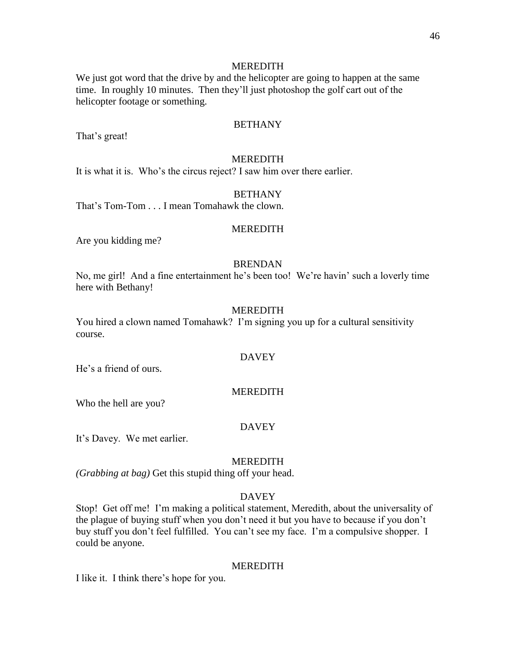We just got word that the drive by and the helicopter are going to happen at the same time. In roughly 10 minutes. Then they'll just photoshop the golf cart out of the helicopter footage or something.

#### BETHANY

That's great!

#### MEREDITH

It is what it is. Who's the circus reject? I saw him over there earlier.

## BETHANY

That's Tom-Tom . . . I mean Tomahawk the clown.

#### **MEREDITH**

Are you kidding me?

#### BRENDAN

No, me girl! And a fine entertainment he's been too! We're havin' such a loverly time here with Bethany!

# MEREDITH

You hired a clown named Tomahawk? I'm signing you up for a cultural sensitivity course.

# **DAVEY**

He's a friend of ours.

#### MEREDITH

Who the hell are you?

#### DAVEY

It's Davey. We met earlier.

#### MEREDITH

*(Grabbing at bag)* Get this stupid thing off your head.

## DAVEY

Stop! Get off me! I'm making a political statement, Meredith, about the universality of the plague of buying stuff when you don't need it but you have to because if you don't buy stuff you don't feel fulfilled. You can't see my face. I'm a compulsive shopper. I could be anyone.

#### MEREDITH

I like it. I think there's hope for you.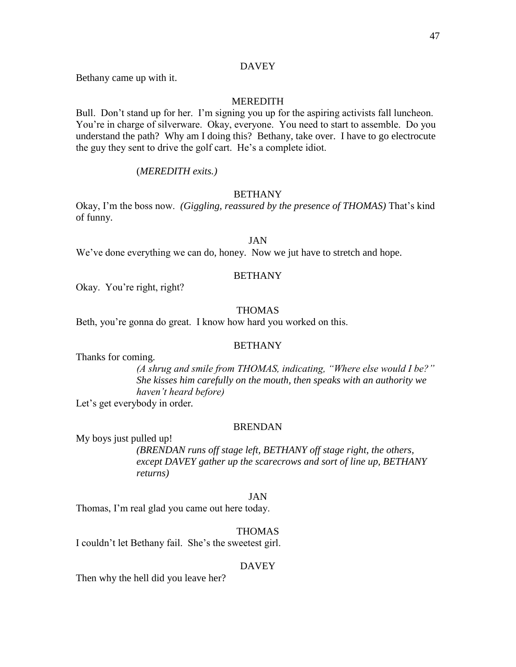# DAVEY

Bethany came up with it.

# MEREDITH

Bull. Don't stand up for her. I'm signing you up for the aspiring activists fall luncheon. You're in charge of silverware. Okay, everyone. You need to start to assemble. Do you understand the path? Why am I doing this? Bethany, take over. I have to go electrocute the guy they sent to drive the golf cart. He's a complete idiot.

## (*MEREDITH exits.)*

## **BETHANY**

Okay, I'm the boss now. *(Giggling, reassured by the presence of THOMAS)* That's kind of funny.

# JAN

We've done everything we can do, honey. Now we jut have to stretch and hope.

## BETHANY

Okay. You're right, right?

# THOMAS

Beth, you're gonna do great. I know how hard you worked on this.

## BETHANY

Thanks for coming.

*(A shrug and smile from THOMAS, indicating, "Where else would I be?" She kisses him carefully on the mouth, then speaks with an authority we haven't heard before)*

Let's get everybody in order*.* 

# BRENDAN

My boys just pulled up!

*(BRENDAN runs off stage left, BETHANY off stage right, the others, except DAVEY gather up the scarecrows and sort of line up, BETHANY returns)* 

## JAN

Thomas, I'm real glad you came out here today.

# THOMAS

I couldn't let Bethany fail. She's the sweetest girl.

## DAVEY

Then why the hell did you leave her?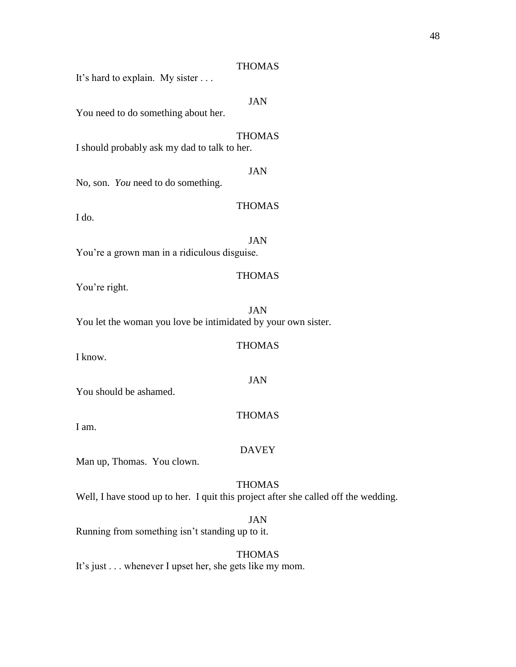# THOMAS

It's hard to explain. My sister . . .

# JAN

You need to do something about her.

THOMAS I should probably ask my dad to talk to her.

JAN

No, son. *You* need to do something.

# THOMAS

I do.

JAN You're a grown man in a ridiculous disguise.

#### THOMAS

THOMAS

JAN

THOMAS

You're right.

JAN You let the woman you love be intimidated by your own sister.

I know.

You should be ashamed.

I am.

#### DAVEY

Man up, Thomas. You clown.

## THOMAS

Well, I have stood up to her. I quit this project after she called off the wedding.

JAN Running from something isn't standing up to it.

# THOMAS

It's just . . . whenever I upset her, she gets like my mom.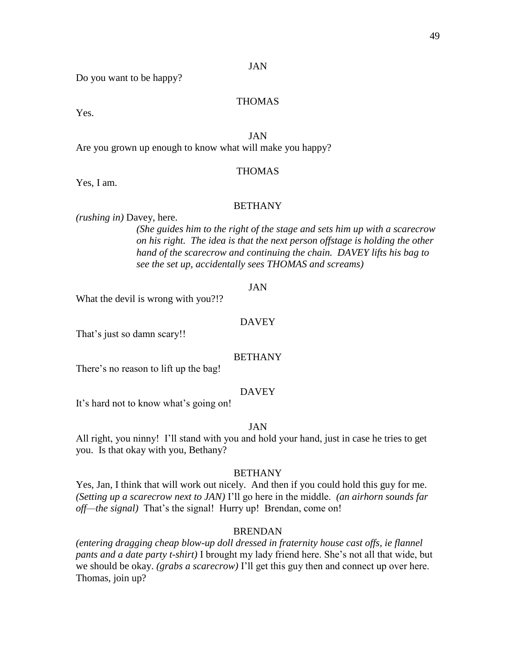Do you want to be happy?

# THOMAS

Yes.

# JAN

Are you grown up enough to know what will make you happy?

## THOMAS

Yes, I am.

## BETHANY

*(rushing in)* Davey, here.

*(She guides him to the right of the stage and sets him up with a scarecrow on his right. The idea is that the next person offstage is holding the other hand of the scarecrow and continuing the chain. DAVEY lifts his bag to see the set up, accidentally sees THOMAS and screams)*

#### JAN

What the devil is wrong with you?!?

## DAVEY

That's just so damn scary!!

### BETHANY

There's no reason to lift up the bag!

## DAVEY

It's hard not to know what's going on!

#### JAN

All right, you ninny! I'll stand with you and hold your hand, just in case he tries to get you. Is that okay with you, Bethany?

#### BETHANY

Yes, Jan, I think that will work out nicely. And then if you could hold this guy for me. *(Setting up a scarecrow next to JAN)* I'll go here in the middle. *(an airhorn sounds far off—the signal)* That's the signal! Hurry up! Brendan, come on!

#### BRENDAN

*(entering dragging cheap blow-up doll dressed in fraternity house cast offs, ie flannel pants and a date party t-shirt)* I brought my lady friend here. She's not all that wide, but we should be okay. *(grabs a scarecrow)* I'll get this guy then and connect up over here. Thomas, join up?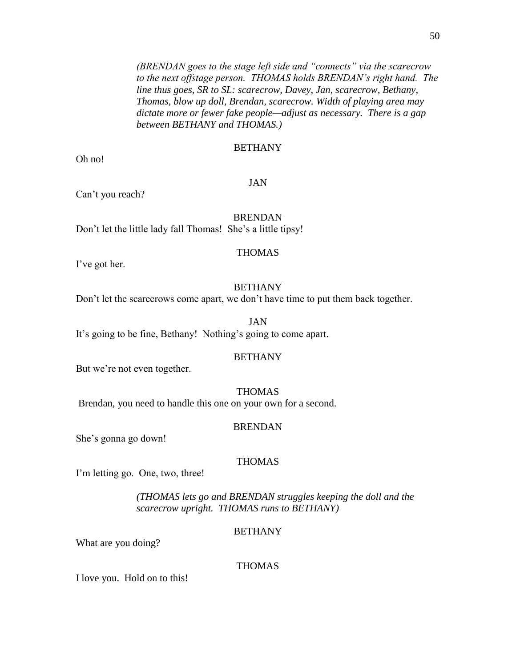*(BRENDAN goes to the stage left side and "connects" via the scarecrow to the next offstage person. THOMAS holds BRENDAN's right hand. The line thus goes, SR to SL: scarecrow, Davey, Jan, scarecrow, Bethany, Thomas, blow up doll, Brendan, scarecrow. Width of playing area may dictate more or fewer fake people—adjust as necessary. There is a gap between BETHANY and THOMAS.)*

## **BETHANY**

Oh no!

## JAN

Can't you reach?

# BRENDAN

Don't let the little lady fall Thomas! She's a little tipsy!

## THOMAS

I've got her.

## **BETHANY**

Don't let the scarecrows come apart, we don't have time to put them back together.

JAN It's going to be fine, Bethany! Nothing's going to come apart.

# BETHANY

But we're not even together.

#### THOMAS

Brendan, you need to handle this one on your own for a second.

#### BRENDAN

She's gonna go down!

## THOMAS

I'm letting go. One, two, three!

*(THOMAS lets go and BRENDAN struggles keeping the doll and the scarecrow upright. THOMAS runs to BETHANY)*

## BETHANY

What are you doing?

## THOMAS

I love you. Hold on to this!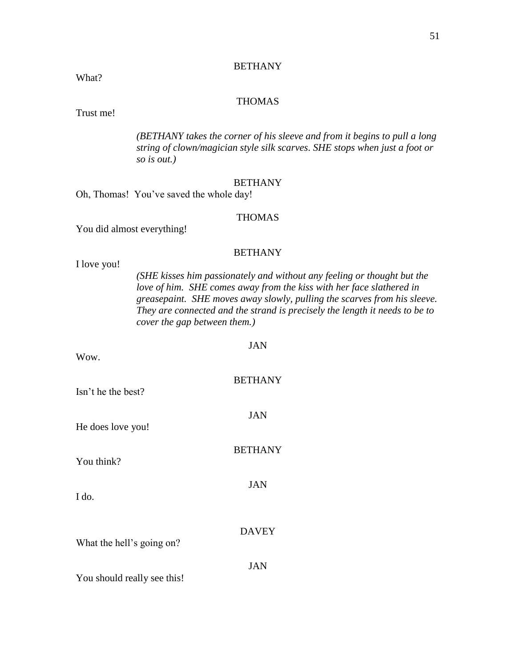# BETHANY

What?

# THOMAS

Trust me!

*(BETHANY takes the corner of his sleeve and from it begins to pull a long string of clown/magician style silk scarves*. *SHE stops when just a foot or so is out.)*

#### BETHANY

Oh, Thomas! You've saved the whole day!

# THOMAS

You did almost everything!

# **BETHANY**

 $\overline{y}$ 

I love you!

*(SHE kisses him passionately and without any feeling or thought but the love of him. SHE comes away from the kiss with her face slathered in greasepaint. SHE moves away slowly, pulling the scarves from his sleeve. They are connected and the strand is precisely the length it needs to be to cover the gap between them.)*

| Wow.                        | JAN            |
|-----------------------------|----------------|
| Isn't he the best?          | <b>BETHANY</b> |
| He does love you!           | <b>JAN</b>     |
| You think?                  | <b>BETHANY</b> |
| I do.                       | <b>JAN</b>     |
| What the hell's going on?   | <b>DAVEY</b>   |
| You should really see this! | JAN            |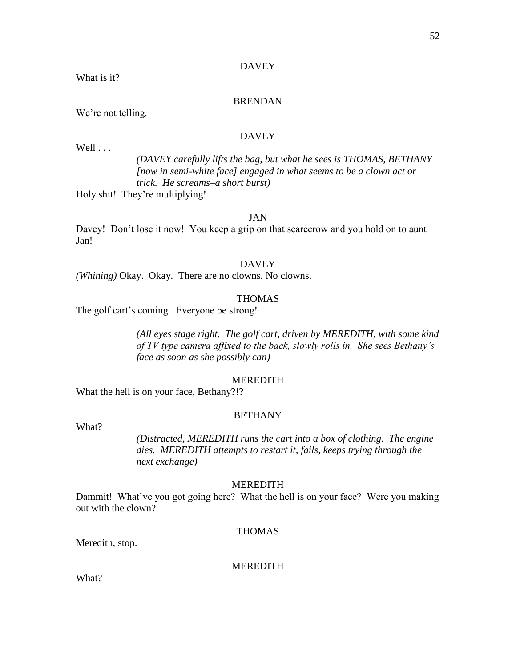# DAVEY

What is it?

### BRENDAN

We're not telling.

# DAVEY

Well . . .

*(DAVEY carefully lifts the bag, but what he sees is THOMAS, BETHANY [now in semi-white face] engaged in what seems to be a clown act or trick. He screams–a short burst)*

Holy shit! They're multiplying!

# JAN

Davey! Don't lose it now! You keep a grip on that scarecrow and you hold on to aunt Jan!

## DAVEY

*(Whining)* Okay. Okay. There are no clowns. No clowns.

## THOMAS

The golf cart's coming. Everyone be strong!

*(All eyes stage right. The golf cart, driven by MEREDITH, with some kind of TV type camera affixed to the back, slowly rolls in. She sees Bethany's face as soon as she possibly can)*

## MEREDITH

What the hell is on your face, Bethany?!?

#### BETHANY

What?

*(Distracted, MEREDITH runs the cart into a box of clothing*. *The engine dies. MEREDITH attempts to restart it, fails, keeps trying through the next exchange)*

#### MEREDITH

Dammit! What've you got going here? What the hell is on your face? Were you making out with the clown?

#### THOMAS

Meredith, stop.

MEREDITH

What?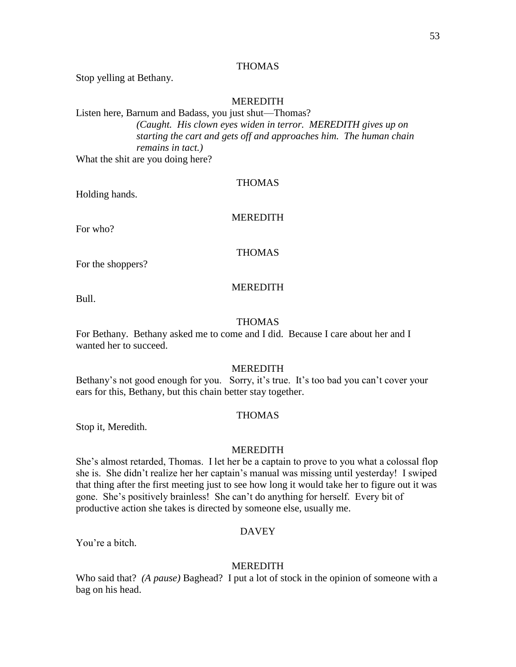# THOMAS

Stop yelling at Bethany.

## MEREDITH

# Listen here, Barnum and Badass, you just shut—Thomas? *(Caught. His clown eyes widen in terror. MEREDITH gives up on starting the cart and gets off and approaches him. The human chain remains in tact.)* What the shit are you doing here?

**THOMAS** 

Holding hands.

# MEREDITH

For who?

THOMAS

For the shoppers?

#### **MEREDITH**

Bull.

## THOMAS

For Bethany. Bethany asked me to come and I did. Because I care about her and I wanted her to succeed.

## MEREDITH

Bethany's not good enough for you. Sorry, it's true. It's too bad you can't cover your ears for this, Bethany, but this chain better stay together.

## THOMAS

Stop it, Meredith.

#### MEREDITH

She's almost retarded, Thomas. I let her be a captain to prove to you what a colossal flop she is. She didn't realize her her captain's manual was missing until yesterday! I swiped that thing after the first meeting just to see how long it would take her to figure out it was gone. She's positively brainless! She can't do anything for herself. Every bit of productive action she takes is directed by someone else, usually me.

#### DAVEY

You're a bitch.

#### MEREDITH

Who said that? *(A pause)* Baghead? I put a lot of stock in the opinion of someone with a bag on his head.